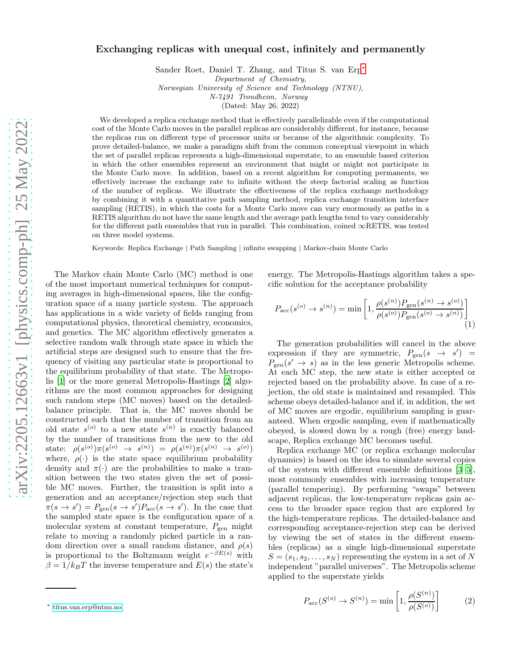# Exchanging replicas with unequal cost, infinitely and permanently

Sander Roet, Daniel T. Zhang, and Titus S. van Erp[∗](#page-10-0) Department of Chemistry,

Norwegian University of Science and Technology (NTNU),

N-7491 Trondheim, Norway

(Dated: May 26, 2022)

We developed a replica exchange method that is effectively parallelizable even if the computational cost of the Monte Carlo moves in the parallel replicas are considerably different, for instance, because the replicas run on different type of processor units or because of the algorithmic complexity. To prove detailed-balance, we make a paradigm shift from the common conceptual viewpoint in which the set of parallel replicas represents a high-dimensional superstate, to an ensemble based criterion in which the other ensembles represent an environment that might or might not participate in the Monte Carlo move. In addition, based on a recent algorithm for computing permanents, we effectively increase the exchange rate to infinite without the steep factorial scaling as function of the number of replicas. We illustrate the effectiveness of the replica exchange methodology by combining it with a quantitative path sampling method, replica exchange transition interface sampling (RETIS), in which the costs for a Monte Carlo move can vary enormously as paths in a RETIS algorithm do not have the same length and the average path lengths tend to vary considerably for the different path ensembles that run in parallel. This combination, coined  $\infty$ RETIS, was tested on three model systems.

Keywords: Replica Exchange | Path Sampling | infinite swapping | Markov-chain Monte Carlo

The Markov chain Monte Carlo (MC) method is one of the most important numerical techniques for computing averages in high-dimensional spaces, like the configuration space of a many particle system. The approach has applications in a wide variety of fields ranging from computational physics, theoretical chemistry, economics, and genetics. The MC algorithm effectively generates a selective random walk through state space in which the artificial steps are designed such to ensure that the frequency of visiting any particular state is proportional to the equilibrium probability of that state. The Metropolis [\[1](#page-9-0)] or the more general Metropolis-Hastings [\[2](#page-9-1)] algorithms are the most common approaches for designing such random steps (MC moves) based on the detailedbalance principle. That is, the MC moves should be constructed such that the number of transition from an old state  $s^{(o)}$  to a new state  $s^{(n)}$  is exactly balanced by the number of transitions from the new to the old state:  $\rho(s^{(o)})\pi(s^{(o)} \rightarrow s^{(n)}) = \rho(s^{(n)})\pi(s^{(n)} \rightarrow s^{(o)})$ where,  $\rho(\cdot)$  is the state space equilibrium probability density and  $\pi(\cdot)$  are the probabilities to make a transition between the two states given the set of possible MC moves. Further, the transition is split into a generation and an acceptance/rejection step such that  $\overline{\pi}(s \to s') = P_{\text{gen}}(s \to s')P_{\text{acc}}(s \to s')$ . In the case that the sampled state space is the configuration space of a molecular system at constant temperature,  $P_{gen}$  might relate to moving a randomly picked particle in a random direction over a small random distance, and  $\rho(s)$ is proportional to the Boltzmann weight  $e^{-\beta E(s)}$  with  $\beta = 1/k_BT$  the inverse temperature and  $E(s)$  the state's

energy. The Metropolis-Hastings algorithm takes a specific solution for the acceptance probability

<span id="page-0-0"></span>
$$
P_{\rm acc}(s^{(o)} \to s^{(n)}) = \min\left[1, \frac{\rho(s^{(n)}) P_{\rm gen}(s^{(n)} \to s^{(o)})}{\rho(s^{(o)}) P_{\rm gen}(s^{(o)} \to s^{(n)})}\right]
$$
(1)

The generation probabilities will cancel in the above expression if they are symmetric,  $P_{gen}(s \rightarrow s')$  =  $P_{\text{gen}}(s' \rightarrow s)$  as in the less generic Metropolis scheme. At each MC step, the new state is either accepted or rejected based on the probability above. In case of a rejection, the old state is maintained and resampled. This scheme obeys detailed-balance and if, in addition, the set of MC moves are ergodic, equilibrium sampling is guaranteed. When ergodic sampling, even if mathematically obeyed, is slowed down by a rough (free) energy landscape, Replica exchange MC becomes useful.

Replica exchange MC (or replica exchange molecular dynamics) is based on the idea to simulate several copies of the system with different ensemble definitions [\[3](#page-9-2)[–5\]](#page-9-3), most commonly ensembles with increasing temperature (parallel tempering). By performing "swaps" between adjacent replicas, the low-temperature replicas gain access to the broader space region that are explored by the high-temperature replicas. The detailed-balance and corresponding acceptance-rejection step can be derived by viewing the set of states in the different ensembles (replicas) as a single high-dimensional superstate  $S = (s_1, s_2, \ldots, s_N)$  representing the system in a set of N independent "parallel universes". The Metropolis scheme applied to the superstate yields

<span id="page-0-1"></span>
$$
P_{\rm acc}(S^{(o)} \to S^{(n)}) = \min\left[1, \frac{\rho(S^{(n)})}{\rho(S^{(o)})}\right]
$$
 (2)

<sup>∗</sup> [titus.van.erp@ntnu.no](mailto:titus.van.erp@ntnu.no)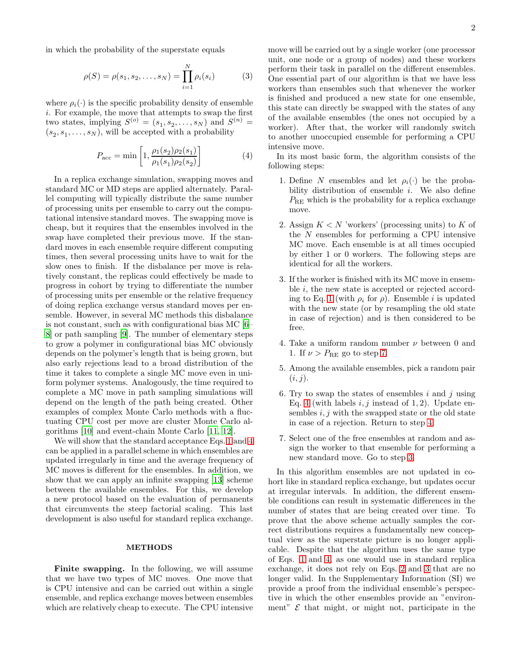in which the probability of the superstate equals

$$
\rho(S) = \rho(s_1, s_2, \dots, s_N) = \prod_{i=1}^{N} \rho_i(s_i)
$$
 (3)

where  $\rho_i(\cdot)$  is the specific probability density of ensemble i. For example, the move that attempts to swap the first two states, implying  $S^{(o)} = (s_1, s_2, \dots, s_N)$  and  $S^{(n)} =$  $(s_2, s_1, \ldots, s_N)$ , will be accepted with a probability

$$
P_{\rm acc} = \min\left[1, \frac{\rho_1(s_2)\rho_2(s_1)}{\rho_1(s_1)\rho_2(s_2)}\right]
$$
 (4)

In a replica exchange simulation, swapping moves and standard MC or MD steps are applied alternately. Parallel computing will typically distribute the same number of processing units per ensemble to carry out the computational intensive standard moves. The swapping move is cheap, but it requires that the ensembles involved in the swap have completed their previous move. If the standard moves in each ensemble require different computing times, then several processing units have to wait for the slow ones to finish. If the disbalance per move is relatively constant, the replicas could effectively be made to progress in cohort by trying to differentiate the number of processing units per ensemble or the relative frequency of doing replica exchange versus standard moves per ensemble. However, in several MC methods this disbalance is not constant, such as with configurational bias MC [\[6](#page-9-4)– [8](#page-21-0)] or path sampling [\[9\]](#page-9-5). The number of elementary steps to grow a polymer in configurational bias MC obviously depends on the polymer's length that is being grown, but also early rejections lead to a broad distribution of the time it takes to complete a single MC move even in uniform polymer systems. Analogously, the time required to complete a MC move in path sampling simulations will depend on the length of the path being created. Other examples of complex Monte Carlo methods with a fluctuating CPU cost per move are cluster Monte Carlo algorithms [\[10](#page-9-6)] and event-chain Monte Carlo [\[11](#page-9-7), [12](#page-9-8)].

We will show that the standard acceptance Eqs. [1](#page-0-0) and [4](#page-1-0) can be applied in a parallel scheme in which ensembles are updated irregularly in time and the average frequency of MC moves is different for the ensembles. In addition, we show that we can apply an infinite swapping [\[13\]](#page-9-9) scheme between the available ensembles. For this, we develop a new protocol based on the evaluation of permanents that circumvents the steep factorial scaling. This last development is also useful for standard replica exchange.

### METHODS

Finite swapping. In the following, we will assume that we have two types of MC moves. One move that is CPU intensive and can be carried out within a single ensemble, and replica exchange moves between ensembles which are relatively cheap to execute. The CPU intensive

<span id="page-1-4"></span>move will be carried out by a single worker (one processor unit, one node or a group of nodes) and these workers perform their task in parallel on the different ensembles. One essential part of our algorithm is that we have less workers than ensembles such that whenever the worker is finished and produced a new state for one ensemble, this state can directly be swapped with the states of any of the available ensembles (the ones not occupied by a worker). After that, the worker will randomly switch to another unoccupied ensemble for performing a CPU intensive move.

<span id="page-1-0"></span>In its most basic form, the algorithm consists of the following steps:

- 1. Define N ensembles and let  $\rho_i(\cdot)$  be the probability distribution of ensemble  $i$ . We also define  $P_{\text{RE}}$  which is the probability for a replica exchange move.
- 2. Assign  $K < N$  'workers' (processing units) to K of the N ensembles for performing a CPU intensive MC move. Each ensemble is at all times occupied by either 1 or 0 workers. The following steps are identical for all the workers.
- <span id="page-1-3"></span>3. If the worker is finished with its MC move in ensemble i, the new state is accepted or rejected accord-ing to Eq. [1](#page-0-0) (with  $\rho_i$  for  $\rho$ ). Ensemble *i* is updated with the new state (or by resampling the old state in case of rejection) and is then considered to be free.
- <span id="page-1-2"></span>4. Take a uniform random number  $\nu$  between 0 and 1. If  $\nu > P_{\text{RE}}$  go to step [7.](#page-1-1)
- 5. Among the available ensembles, pick a random pair  $(i, j).$
- <span id="page-1-5"></span>6. Try to swap the states of ensembles  $i$  and  $j$  using Eq. [4](#page-1-0) (with labels  $i, j$  instead of 1, 2). Update ensembles  $i, j$  with the swapped state or the old state in case of a rejection. Return to step [4.](#page-1-2)
- <span id="page-1-1"></span>7. Select one of the free ensembles at random and assign the worker to that ensemble for performing a new standard move. Go to step [3.](#page-1-3)

In this algorithm ensembles are not updated in cohort like in standard replica exchange, but updates occur at irregular intervals. In addition, the different ensemble conditions can result in systematic differences in the number of states that are being created over time. To prove that the above scheme actually samples the correct distributions requires a fundamentally new conceptual view as the superstate picture is no longer applicable. Despite that the algorithm uses the same type of Eqs. [1](#page-0-0) and [4,](#page-1-0) as one would use in standard replica exchange, it does not rely on Eqs. [2](#page-0-1) and [3](#page-1-4) that are no longer valid. In the Supplementary Information (SI) we provide a proof from the individual ensemble's perspective in which the other ensembles provide an "environment"  $\mathcal E$  that might, or might not, participate in the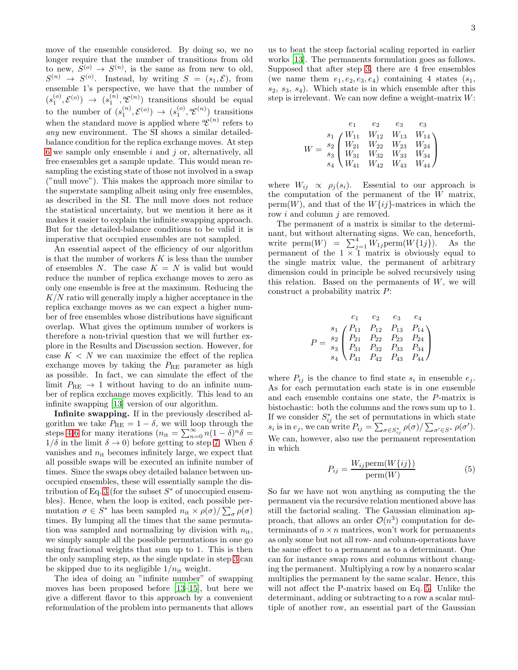move of the ensemble considered. By doing so, we no longer require that the number of transitions from old to new,  $S^{(o)} \to S^{(n)}$ , is the same as from new to old,  $S^{(n)} \rightarrow S^{(o)}$ . Instead, by writing  $S = (s_1, \mathcal{E})$ , from ensemble 1's perspective, we have that the number of  $(s_1^{(o)}, \mathcal{E}^{(o)}) \rightarrow (s_1^{(n)}, \mathcal{E}^{(n)})$  transitions should be equal to the number of  $(s_1^{(n)}, \mathcal{E}^{(o)}) \rightarrow (s_1^{(o)}, \mathcal{E}^{(n)})$  transitions when the standard move is applied where  ${}^a\mathcal{E}^{(n)}$  refers to any new environment. The SI shows a similar detailedbalance condition for the replica exchange moves. At step  $6$  we sample only ensemble  $i$  and  $j$  or, alternatively, all free ensembles get a sample update. This would mean resampling the existing state of those not involved in a swap ("null move"). This makes the approach more similar to the superstate sampling albeit using only free ensembles, as described in the SI. The null move does not reduce the statistical uncertainty, but we mention it here as it makes it easier to explain the infinite swapping approach. But for the detailed-balance conditions to be valid it is imperative that occupied ensembles are not sampled.

An essential aspect of the efficiency of our algorithm is that the number of workers  $K$  is less than the number of ensembles N. The case  $K = N$  is valid but would reduce the number of replica exchange moves to zero as only one ensemble is free at the maximum. Reducing the  $K/N$  ratio will generally imply a higher acceptance in the replica exchange moves as we can expect a higher number of free ensembles whose distributions have significant overlap. What gives the optimum number of workers is therefore a non-trivial question that we will further explore in the Results and Discussion section. However, for case  $K < N$  we can maximize the effect of the replica exchange moves by taking the  $P_{RE}$  parameter as high as possible. In fact, we can simulate the effect of the limit  $P_{\text{RE}} \rightarrow 1$  without having to do an infinite number of replica exchange moves explicitly. This lead to an infinite swapping [\[13\]](#page-9-9) version of our algorithm.

Infinite swapping. If in the previously described algorithm we take  $P_{\text{RE}} = 1 - \delta$ , we will loop through the steps [4](#page-1-2)[-6](#page-1-5) for many iterations  $(n_{it} = \sum_{n=0}^{\infty} n(1 - \delta)^n \delta =$  $1/\delta$  in the limit  $\delta \to 0$ ) before getting to step [7.](#page-1-1) When  $\delta$ vanishes and  $n_{it}$  becomes infinitely large, we expect that all possible swaps will be executed an infinite number of times. Since the swaps obey detailed balance between unoccupied ensembles, these will essentially sample the dis-tribution of Eq. [3](#page-1-4) (for the subset  $S^*$  of unoccupied ensembles). Hence, when the loop is exited, each possible permutation  $\sigma \in S^*$  has been sampled  $n_{\text{it}} \times \rho(\sigma) / \sum_{\sigma} \rho(\sigma)$ times. By lumping all the times that the same permutation was sampled and normalizing by division with  $n_{it}$ , we simply sample all the possible permutations in one go using fractional weights that sum up to 1. This is then the only sampling step, as the single update in step [3](#page-1-3) can be skipped due to its negligible  $1/n_{it}$  weight.

The idea of doing an "infinite number" of swapping moves has been proposed before [\[13](#page-9-9)[–15\]](#page-9-10), but here we give a different flavor to this approach by a convenient reformulation of the problem into permanents that allows

us to beat the steep factorial scaling reported in earlier works [\[13](#page-9-9)]. The permanents formulation goes as follows. Supposed that after step [3,](#page-1-3) there are 4 free ensembles (we name them  $e_1, e_2, e_3, e_4$ ) containing 4 states  $(s_1,$  $s_2, s_3, s_4$ ). Which state is in which ensemble after this step is irrelevant. We can now define a weight-matrix  $W$ :

$$
W = \begin{pmatrix} e_1 & e_2 & e_3 & e_3 \\ s_1 & W_{11} & W_{12} & W_{13} & W_{14} \\ W_{21} & W_{22} & W_{23} & W_{24} \\ s_3 & W_{31} & W_{32} & W_{33} & W_{34} \\ s_4 & W_{41} & W_{42} & W_{43} & W_{44} \end{pmatrix}
$$

where  $W_{ij} \propto \rho_j(s_i)$ . Essential to our approach is the computation of the permanent of the W matrix, perm $(W)$ , and that of the  $W\{ij\}$ -matrices in which the row  $i$  and column  $j$  are removed.

The permanent of a matrix is similar to the determinant, but without alternating signs. We can, henceforth, write perm $(W)$  =  $\sum_{j=1}^{4} W_{1j}$  perm $(W{1j})$ . As the permanent of the  $1 \times 1$  matrix is obviously equal to the single matrix value, the permanent of arbitrary dimension could in principle be solved recursively using this relation. Based on the permanents of  $W$ , we will construct a probability matrix P:

$$
P = \begin{matrix} e_1 & e_2 & e_3 & e_4 \ s_1 & P_{11} & P_{12} & P_{13} & P_{14} \ P_{21} & P_{22} & P_{23} & P_{24} \ P_{31} & P_{32} & P_{33} & P_{34} \ S_4 & P_{41} & P_{42} & P_{43} & P_{44} \end{matrix}
$$

where  $P_{ij}$  is the chance to find state  $s_i$  in ensemble  $e_j$ . As for each permutation each state is in one ensemble and each ensemble contains one state, the P-matrix is bistochastic: both the columns and the rows sum up to 1. If we consider  $S_{ij}^*$  the set of permutations in which state  $s_i$  is in  $e_j$ , we can write  $P_{ij} = \sum_{\sigma \in S_{ij}^*} \rho(\sigma) / \sum_{\sigma' \in S^*} \rho(\sigma')$ . We can, however, also use the permanent representation in which

<span id="page-2-0"></span>
$$
P_{ij} = \frac{W_{ij} \text{perm}(W\{ij\})}{\text{perm}(W)}\tag{5}
$$

So far we have not won anything as computing the the permanent via the recursive relation mentioned above has still the factorial scaling. The Gaussian elimination approach, that allows an order  $\mathcal{O}(n^3)$  computation for determinants of  $n \times n$  matrices, won't work for permanents as only some but not all row- and column-operations have the same effect to a permanent as to a determinant. One can for instance swap rows and columns without changing the permanent. Multiplying a row by a nonzero scalar multiplies the permanent by the same scalar. Hence, this will not affect the P-matrix based on Eq. [5.](#page-2-0) Unlike the determinant, adding or subtracting to a row a scalar multiple of another row, an essential part of the Gaussian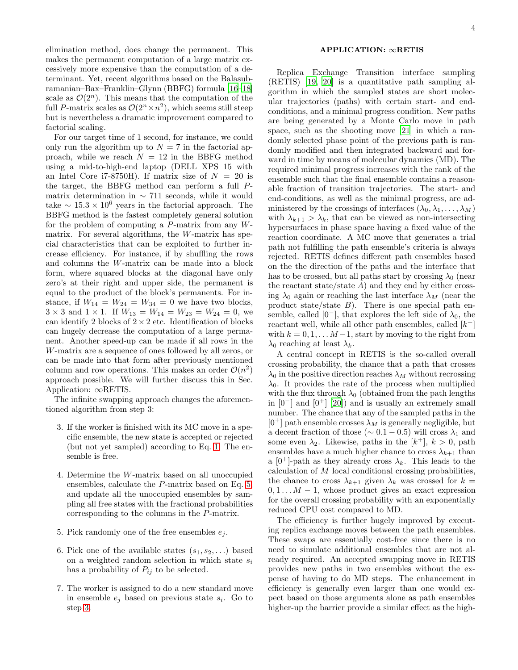elimination method, does change the permanent. This makes the permanent computation of a large matrix excessively more expensive than the computation of a determinant. Yet, recent algorithms based on the Balasubramanian–Bax–Franklin–Glynn (BBFG) formula [\[16](#page-9-11)[–18\]](#page-9-12) scale as  $\mathcal{O}(2^n)$ . This means that the computation of the full P-matrix scales as  $\mathcal{O}(2^n \times n^2)$ , which seems still steep but is nevertheless a dramatic improvement compared to factorial scaling.

For our target time of 1 second, for instance, we could only run the algorithm up to  $N = 7$  in the factorial approach, while we reach  $N = 12$  in the BBFG method using a mid-to-high-end laptop (DELL XPS 15 with an Intel Core i7-8750H). If matrix size of  $N = 20$  is the target, the BBFG method can perform a full Pmatrix determination in  $\sim$  711 seconds, while it would take  $\sim 15.3 \times 10^6$  years in the factorial approach. The BBFG method is the fastest completely general solution for the problem of computing a  $P$ -matrix from any  $W$ matrix. For several algorithms, the W-matrix has special characteristics that can be exploited to further increase efficiency. For instance, if by shuffling the rows and columns the W-matrix can be made into a block form, where squared blocks at the diagonal have only zero's at their right and upper side, the permanent is equal to the product of the block's permanents. For instance, if  $W_{14} = W_{24} = W_{34} = 0$  we have two blocks,  $3 \times 3$  and  $1 \times 1$ . If  $W_{13} = W_{14} = W_{23} = W_{24} = 0$ , we can identify 2 blocks of  $2 \times 2$  etc. Identification of blocks can hugely decrease the computation of a large permanent. Another speed-up can be made if all rows in the W-matrix are a sequence of ones followed by all zeros, or can be made into that form after previously mentioned column and row operations. This makes an order  $\mathcal{O}(n^2)$ approach possible. We will further discuss this in Sec. Application: ∞RETIS.

<span id="page-3-0"></span>The infinite swapping approach changes the aforementioned algorithm from step 3:

- 3. If the worker is finished with its MC move in a specific ensemble, the new state is accepted or rejected (but not yet sampled) according to Eq. [1.](#page-0-0) The ensemble is free.
- 4. Determine the W-matrix based on all unoccupied ensembles, calculate the P-matrix based on Eq. [5,](#page-2-0) and update all the unoccupied ensembles by sampling all free states with the fractional probabilities corresponding to the columns in the P-matrix.
- 5. Pick randomly one of the free ensembles  $e_i$ .
- 6. Pick one of the available states  $(s_1, s_2, \ldots)$  based on a weighted random selection in which state  $s_i$ has a probability of  $P_{ij}$  to be selected.
- 7. The worker is assigned to do a new standard move in ensemble  $e_j$  based on previous state  $s_i$ . Go to step [3.](#page-3-0)

# APPLICATION: ∞RETIS

Replica Exchange Transition interface sampling (RETIS) [\[19,](#page-9-13) [20\]](#page-9-14) is a quantitative path sampling algorithm in which the sampled states are short molecular trajectories (paths) with certain start- and endconditions, and a minimal progress condition. New paths are being generated by a Monte Carlo move in path space, such as the shooting move [\[21\]](#page-9-15) in which a randomly selected phase point of the previous path is randomly modified and then integrated backward and forward in time by means of molecular dynamics (MD). The required minimal progress increases with the rank of the ensemble such that the final ensemble contains a reasonable fraction of transition trajectories. The start- and end-conditions, as well as the minimal progress, are administered by the crossings of interfaces  $(\lambda_0, \lambda_1, \ldots, \lambda_M)$ with  $\lambda_{k+1} > \lambda_k$ , that can be viewed as non-intersecting hypersurfaces in phase space having a fixed value of the reaction coordinate. A MC move that generates a trial path not fulfilling the path ensemble's criteria is always rejected. RETIS defines different path ensembles based on the the direction of the paths and the interface that has to be crossed, but all paths start by crossing  $\lambda_0$  (near the reactant state/state  $A$ ) and they end by either crossing  $\lambda_0$  again or reaching the last interface  $\lambda_M$  (near the product state/state  $B$ ). There is one special path ensemble, called [0<sup>-</sup>], that explores the left side of  $\lambda_0$ , the reactant well, while all other path ensembles, called  $[k^+]$ with  $k = 0, 1, \ldots M-1$ , start by moving to the right from  $\lambda_0$  reaching at least  $\lambda_k$ .

A central concept in RETIS is the so-called overall crossing probability, the chance that a path that crosses  $\lambda_0$  in the positive direction reaches  $\lambda_M$  without recrossing  $\lambda_0$ . It provides the rate of the process when multiplied with the flux through  $\lambda_0$  (obtained from the path lengths in  $[0^-]$  and  $[0^+]$   $[20]$  and is usually an extremely small number. The chance that any of the sampled paths in the  $[0^+]$  path ensemble crosses  $\lambda_M$  is generally negligible, but a decent fraction of those ( $\sim 0.1 - 0.5$ ) will cross  $\lambda_1$  and some even  $\lambda_2$ . Likewise, paths in the  $[k^+]$ ,  $k > 0$ , path ensembles have a much higher chance to cross  $\lambda_{k+1}$  than a  $[0^+]$ -path as they already cross  $\lambda_k$ . This leads to the calculation of  $M$  local conditional crossing probabilities, the chance to cross  $\lambda_{k+1}$  given  $\lambda_k$  was crossed for  $k =$  $0, 1, \ldots M - 1$ , whose product gives an exact expression for the overall crossing probability with an exponentially reduced CPU cost compared to MD.

The efficiency is further hugely improved by executing replica exchange moves between the path ensembles. These swaps are essentially cost-free since there is no need to simulate additional ensembles that are not already required. An accepted swapping move in RETIS provides new paths in two ensembles without the expense of having to do MD steps. The enhancement in efficiency is generally even larger than one would expect based on those arguments alone as path ensembles higher-up the barrier provide a similar effect as the high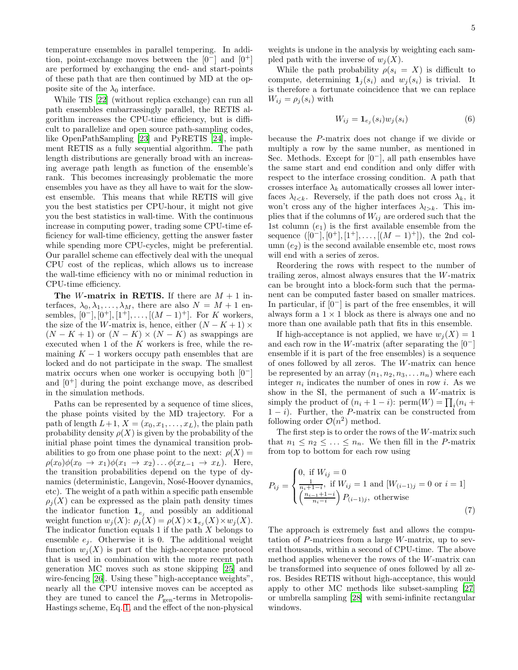temperature ensembles in parallel tempering. In addition, point-exchange moves between the  $[0-]$  and  $[0+]$ are performed by exchanging the end- and start-points of these path that are then continued by MD at the opposite site of the  $\lambda_0$  interface.

While TIS [\[22\]](#page-9-16) (without replica exchange) can run all path ensembles embarrassingly parallel, the RETIS algorithm increases the CPU-time efficiency, but is difficult to parallelize and open source path-sampling codes, like OpenPathSampling [\[23](#page-9-17)] and PyRETIS [\[24\]](#page-9-18), implement RETIS as a fully sequential algorithm. The path length distributions are generally broad with an increasing average path length as function of the ensemble's rank. This becomes increasingly problematic the more ensembles you have as they all have to wait for the slowest ensemble. This means that while RETIS will give you the best statistics per CPU-hour, it might not give you the best statistics in wall-time. With the continuous increase in computing power, trading some CPU-time efficiency for wall-time efficiency, getting the answer faster while spending more CPU-cycles, might be preferential. Our parallel scheme can effectively deal with the unequal CPU cost of the replicas, which allows us to increase the wall-time efficiency with no or minimal reduction in CPU-time efficiency.

The *W*-matrix in RETIS. If there are  $M + 1$  interfaces,  $\lambda_0, \lambda_1, \ldots, \lambda_M$ , there are also  $N = M + 1$  ensembles,  $[0^{\text{-}}], [0^{\text{+}}], [1^{\text{+}}], \ldots, [(M-1)^{\text{+}}].$  For K workers, the size of the W-matrix is, hence, either  $(N - K + 1) \times$  $(N - K + 1)$  or  $(N - K) \times (N - K)$  as swappings are executed when  $1$  of the  $K$  workers is free, while the remaining  $K - 1$  workers occupy path ensembles that are locked and do not participate in the swap. The smallest matrix occurs when one worker is occupying both  $[0-]$ and  $[0^+]$  during the point exchange move, as described in the simulation methods.

Paths can be represented by a sequence of time slices, the phase points visited by the MD trajectory. For a path of length  $L+1$ ,  $X = (x_0, x_1, \ldots, x_L)$ , the plain path probability density  $\rho(X)$  is given by the probability of the initial phase point times the dynamical transition probabilities to go from one phase point to the next:  $\rho(X) =$  $\rho(x_0)\phi(x_0 \rightarrow x_1)\phi(x_1 \rightarrow x_2)\dots\phi(x_{L-1} \rightarrow x_L)$ . Here, the transition probabilities depend on the type of dynamics (deterministic, Langevin, Nosé-Hoover dynamics, etc). The weight of a path within a specific path ensemble  $\rho_i(X)$  can be expressed as the plain path density times the indicator function  $\mathbf{1}_{e_i}$  and possibly an additional weight function  $w_j(X)$ :  $\rho_j(X) = \rho(X) \times \mathbf{1}_{e_j}(X) \times w_j(X)$ . The indicator function equals 1 if the path  $X$  belongs to ensemble  $e_j$ . Otherwise it is 0. The additional weight function  $w_i(X)$  is part of the high-acceptance protocol that is used in combination with the more recent path generation MC moves such as stone skipping [\[25\]](#page-9-19) and wire-fencing [\[26\]](#page-21-1). Using these "high-acceptance weights", nearly all the CPU intensive moves can be accepted as they are tuned to cancel the  $P_{\text{gen}}$ -terms in Metropolis-Hastings scheme, Eq. [1,](#page-0-0) and the effect of the non-physical

weights is undone in the analysis by weighting each sampled path with the inverse of  $w_i(X)$ .

While the path probability  $\rho(s_i = X)$  is difficult to compute, determining  $\mathbf{1}_i(s_i)$  and  $w_i(s_i)$  is trivial. It is therefore a fortunate coincidence that we can replace  $W_{ij} = \rho_i(s_i)$  with

$$
W_{ij} = \mathbf{1}_{e_j}(s_i) w_j(s_i) \tag{6}
$$

because the P-matrix does not change if we divide or multiply a row by the same number, as mentioned in Sec. Methods. Except for  $[0^-]$ , all path ensembles have the same start and end condition and only differ with respect to the interface crossing condition. A path that crosses interface  $\lambda_k$  automatically crosses all lower interfaces  $\lambda_{l \leq k}$ . Reversely, if the path does not cross  $\lambda_k$ , it won't cross any of the higher interfaces  $\lambda_{l>k}$ . This implies that if the columns of  $W_{ij}$  are ordered such that the 1st column  $(e_1)$  is the first available ensemble from the sequence  $([0^-], [0^+], [1^+], \ldots, [(M-1)^+])$ , the 2nd column  $(e_2)$  is the second available ensemble etc, most rows will end with a series of zeros.

Reordering the rows with respect to the number of trailing zeros, almost always ensures that the W-matrix can be brought into a block-form such that the permanent can be computed faster based on smaller matrices. In particular, if  $[0^-]$  is part of the free ensembles, it will always form a  $1 \times 1$  block as there is always one and no more than one available path that fits in this ensemble.

If high-acceptance is not applied, we have  $w_i(X) = 1$ and each row in the W-matrix (after separating the  $[0^-]$ ensemble if it is part of the free ensembles) is a sequence of ones followed by all zeros. The W-matrix can hence be represented by an array  $(n_1, n_2, n_3, \ldots, n_n)$  where each integer  $n_i$  indicates the number of ones in row *i*. As we show in the SI, the permanent of such a W-matrix is simply the product of  $(n_i + 1 - i)$ : perm $(W) = \prod_i (n_i +$  $1 - i$ ). Further, the P-matrix can be constructed from following order  $\mathcal{O}(n^2)$  method.

The first step is to order the rows of the W-matrix such that  $n_1 \leq n_2 \leq \ldots \leq n_n$ . We then fill in the *P*-matrix from top to bottom for each row using

$$
P_{ij} = \begin{cases} 0, \text{ if } W_{ij} = 0\\ \frac{1}{n_i + 1 - i}, \text{ if } W_{ij} = 1 \text{ and } [W_{(i-1)j} = 0 \text{ or } i = 1] \\ \left(\frac{n_{i-1} + 1 - i}{n_i - i}\right) P_{(i-1)j}, \text{ otherwise} \end{cases}
$$
(7)

The approach is extremely fast and allows the computation of  $P$ -matrices from a large  $W$ -matrix, up to several thousands, within a second of CPU-time. The above method applies whenever the rows of the W-matrix can be transformed into sequence of ones followed by all zeros. Besides RETIS without high-acceptance, this would apply to other MC methods like subset-sampling [\[27](#page-9-20)] or umbrella sampling [\[28](#page-9-21)] with semi-infinite rectangular windows.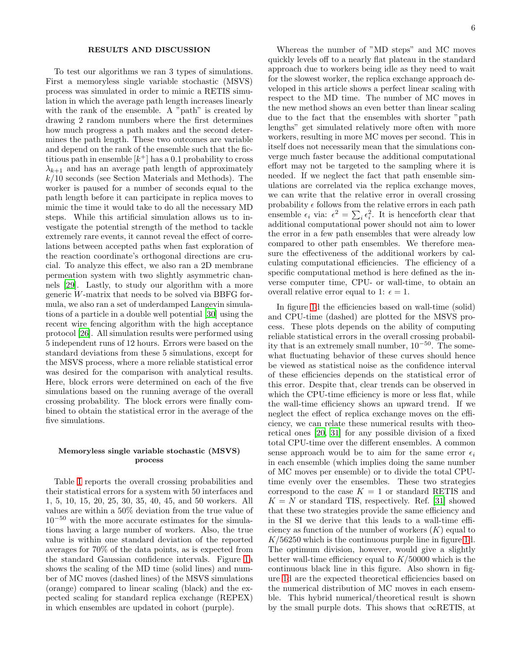# RESULTS AND DISCUSSION

To test our algorithms we ran 3 types of simulations. First a memoryless single variable stochastic (MSVS) process was simulated in order to mimic a RETIS simulation in which the average path length increases linearly with the rank of the ensemble. A "path" is created by drawing 2 random numbers where the first determines how much progress a path makes and the second determines the path length. These two outcomes are variable and depend on the rank of the ensemble such that the fictitious path in ensemble  $[k^+]$  has a 0.1 probability to cross  $\lambda_{k+1}$  and has an average path length of approximately  $k/10$  seconds (see Section Materials and Methods). The worker is paused for a number of seconds equal to the path length before it can participate in replica moves to mimic the time it would take to do all the necessary MD steps. While this artificial simulation allows us to investigate the potential strength of the method to tackle extremely rare events, it cannot reveal the effect of correlations between accepted paths when fast exploration of the reaction coordinate's orthogonal directions are crucial. To analyze this effect, we also ran a 2D membrane permeation system with two slightly asymmetric channels [\[29\]](#page-21-2). Lastly, to study our algorithm with a more generic W-matrix that needs to be solved via BBFG formula, we also ran a set of underdamped Langevin simulations of a particle in a double well potential [\[30\]](#page-21-3) using the recent wire fencing algorithm with the high acceptance protocol [\[26\]](#page-21-1). All simulation results were performed using 5 independent runs of 12 hours. Errors were based on the standard deviations from these 5 simulations, except for the MSVS process, where a more reliable statistical error was desired for the comparison with analytical results. Here, block errors were determined on each of the five simulations based on the running average of the overall crossing probability. The block errors were finally combined to obtain the statistical error in the average of the five simulations.

# Memoryless single variable stochastic (MSVS) process

Table [I](#page-6-0) reports the overall crossing probabilities and their statistical errors for a system with 50 interfaces and 1, 5, 10, 15, 20, 25, 30, 35, 40, 45, and 50 workers. All values are within a 50% deviation from the true value of 10<sup>−</sup><sup>50</sup> with the more accurate estimates for the simulations having a large number of workers. Also, the true value is within one standard deviation of the reported averages for 70% of the data points, as is expected from the standard Gaussian confidence intervals. Figure [1a](#page-21-4) shows the scaling of the MD time (solid lines) and number of MC moves (dashed lines) of the MSVS simulations (orange) compared to linear scaling (black) and the expected scaling for standard replica exchange (REPEX) in which ensembles are updated in cohort (purple).

Whereas the number of "MD steps" and MC moves quickly levels off to a nearly flat plateau in the standard approach due to workers being idle as they need to wait for the slowest worker, the replica exchange approach developed in this article shows a perfect linear scaling with respect to the MD time. The number of MC moves in the new method shows an even better than linear scaling due to the fact that the ensembles with shorter "path lengths" get simulated relatively more often with more workers, resulting in more MC moves per second. This in itself does not necessarily mean that the simulations converge much faster because the additional computational effort may not be targeted to the sampling where it is needed. If we neglect the fact that path ensemble simulations are correlated via the replica exchange moves, we can write that the relative error in overall crossing probability  $\epsilon$  follows from the relative errors in each path ensemble  $\epsilon_i$  via:  $\epsilon^2 = \sum_i \epsilon_i^2$ . It is henceforth clear that additional computational power should not aim to lower the error in a few path ensembles that were already low compared to other path ensembles. We therefore measure the effectiveness of the additional workers by calculating computational efficiencies. The efficiency of a specific computational method is here defined as the inverse computer time, CPU- or wall-time, to obtain an overall relative error equal to 1:  $\epsilon = 1$ .

In figure [1d](#page-21-4) the efficiencies based on wall-time (solid) and CPU-time (dashed) are plotted for the MSVS process. These plots depends on the ability of computing reliable statistical errors in the overall crossing probability that is an extremely small number,  $10^{-50}$ . The somewhat fluctuating behavior of these curves should hence be viewed as statistical noise as the confidence interval of these efficiencies depends on the statistical error of this error. Despite that, clear trends can be observed in which the CPU-time efficiency is more or less flat, while the wall-time efficiency shows an upward trend. If we neglect the effect of replica exchange moves on the efficiency, we can relate these numerical results with theoretical ones [\[20](#page-9-14), [31](#page-21-5)] for any possible division of a fixed total CPU-time over the different ensembles. A common sense approach would be to aim for the same error  $\epsilon_i$ in each ensemble (which implies doing the same number of MC moves per ensemble) or to divide the total CPUtime evenly over the ensembles. These two strategies correspond to the case  $K = 1$  or standard RETIS and  $K = N$  or standard TIS, respectively. Ref. [\[31\]](#page-21-5) showed that these two strategies provide the same efficiency and in the SI we derive that this leads to a wall-time efficiency as function of the number of workers  $(K)$  equal to  $K/56250$  which is the continuous purple line in figure [1d](#page-21-4). The optimum division, however, would give a slightly better wall-time efficiency equal to  $K/50000$  which is the continuous black line in this figure. Also shown in figure [1d](#page-21-4) are the expected theoretical efficiencies based on the numerical distribution of MC moves in each ensemble. This hybrid numerical/theoretical result is shown by the small purple dots. This shows that  $\infty$ RETIS, at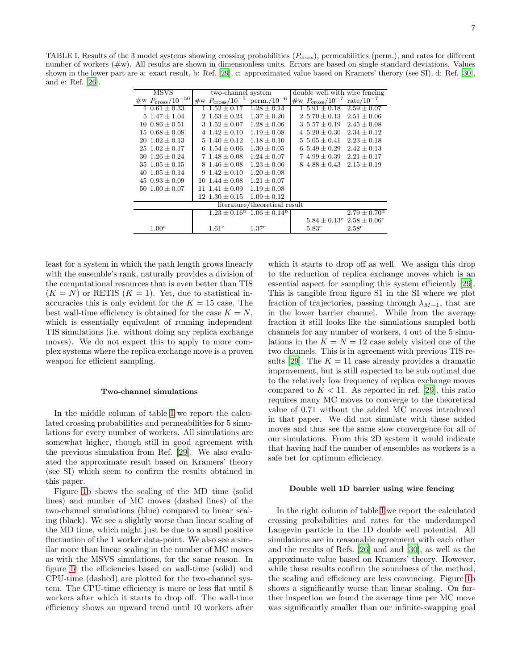<span id="page-6-0"></span>TABLE I. Results of the 3 model systems showing crossing probabilities  $(P_{\text{cross}})$ , permeabilities (perm.), and rates for different number of workers (#w). All results are shown in dimensionless units. Errors are based on single standard deviations. Values shown in the lower part are a: exact result, b: Ref. [\[29](#page-21-2)], c: approximated value based on Kramers' therory (see SI), d: Ref. [\[30\]](#page-21-3), and e: Ref. [\[26\]](#page-21-1).

| MSVS                           | two-channel system         |                                                      | double well with wire fencing                             |                              |
|--------------------------------|----------------------------|------------------------------------------------------|-----------------------------------------------------------|------------------------------|
| #w $P_{\text{cross}}/10^{-50}$ | #w $P_{\rm cross}/10^{-5}$ | $perm. / 10^{-6}$                                    | $\#w$ $P_{\text{cross}}/10^{-7}$                          | rate/ $10^{-7}$              |
| $1\;0.61\pm0.33$               | $1\;1.52\pm0.17$           | $1.28 \pm 0.14$                                      | $1\,5.91\pm0.18$                                          | $2.59 \pm 0.07$              |
| $5\;1.47\pm1.04$               | 2 $1.63 \pm 0.24$          | $1.37 \pm 0.20$                                      | 2 5.70 $\pm$ 0.13                                         | $2.51 \pm 0.06$              |
| $10\;0.86\pm0.51$              | 3 $1.52 \pm 0.07$          | $1.28 \pm 0.06$                                      | $3\;5.57\pm0.19$                                          | $2.45 \pm 0.08$              |
| $15\;0.68\pm0.08$              | $4\;1.42\pm0.10$           | $1.19 \pm 0.08$                                      | 4 $5.20 \pm 0.30$                                         | $2.34 \pm 0.12$              |
| $20 \t1.02 \pm 0.13$           | 5 $1.40 \pm 0.12$          | $1.18 \pm 0.10$                                      | $5.05 \pm 0.41$                                           | $2.23 \pm 0.18$              |
| $25 \t1.02 \pm 0.17$           | 6 $1.54 \pm 0.06$          | $1.30 \pm 0.05$                                      | $5.49 \pm 0.29$<br>6                                      | $2.42 \pm 0.13$              |
| $30\;1.26\pm0.24$              | $71.48 \pm 0.08$           | $1.24 \pm 0.07$                                      | $4.99 \pm 0.39$                                           | $2.21 \pm 0.17$              |
| $35 \; 1.05 \pm 0.15$          | $8\;1.46\pm0.08$           | $1.23 \pm 0.06$                                      | $4.88 \pm 0.43$<br>8                                      | $2.15 \pm 0.19$              |
| 40 $1.05 \pm 0.14$             | $1.42 \pm 0.10$<br>Q       | $1.20 \pm 0.08$                                      |                                                           |                              |
| 45 $0.93 \pm 0.09$             | $10\;1.44\pm0.08$          | $1.21 \pm 0.07$                                      |                                                           |                              |
| $50\;1.00\pm0.07$              | $11\;1.41\pm0.09$          | $1.19 \pm 0.08$                                      |                                                           |                              |
|                                | $12 \; 1.30 \pm 0.15$      | $1.09 \pm 0.12$                                      |                                                           |                              |
| literature/theoretical result  |                            |                                                      |                                                           |                              |
|                                |                            | $1.23 \pm 0.16^{\rm b}$ 1.06 $\pm$ 0.14 <sup>b</sup> |                                                           | $2.79 \pm 0.70$ <sup>d</sup> |
|                                |                            |                                                      | $5.84 \pm 0.13$ <sup>e</sup> $2.58 \pm 0.06$ <sup>e</sup> |                              |
| 1.00 <sup>a</sup>              | 1.61 <sup>c</sup>          | 1.37 <sup>c</sup>                                    | 5.83 <sup>c</sup>                                         | $2.58^{\circ}$               |

least for a system in which the path length grows linearly with the ensemble's rank, naturally provides a division of the computational resources that is even better than TIS  $(K = N)$  or RETIS  $(K = 1)$ . Yet, due to statistical inaccuracies this is only evident for the  $K = 15$  case. The best wall-time efficiency is obtained for the case  $K = N$ , which is essentially equivalent of running independent TIS simulations (i.e. without doing any replica exchange moves). We do not expect this to apply to more complex systems where the replica exchange move is a proven weapon for efficient sampling.

# Two-channel simulations

In the middle column of table [I](#page-6-0) we report the calculated crossing probabilities and permeabilities for 5 simulations for every number of workers. All simulations are somewhat higher, though still in good agreement with the previous simulation from Ref. [\[29\]](#page-21-2). We also evaluated the approximate result based on Kramers' theory (see SI) which seem to confirm the results obtained in this paper.

Figure [1b](#page-21-4) shows the scaling of the MD time (solid lines) and number of MC moves (dashed lines) of the two-channel simulations (blue) compared to linear scaling (black). We see a slightly worse than linear scaling of the MD time, which might just be due to a small positive fluctuation of the 1 worker data-point. We also see a similar more than linear scaling in the number of MC moves as with the MSVS simulations, for the same reason. In figure [1e](#page-21-4) the efficiencies based on wall-time (solid) and CPU-time (dashed) are plotted for the two-channel system. The CPU-time efficiency is more or less flat until 8 workers after which it starts to drop off. The wall-time efficiency shows an upward trend until 10 workers after

which it starts to drop off as well. We assign this drop to the reduction of replica exchange moves which is an essential aspect for sampling this system efficiently [\[29\]](#page-21-2). This is tangible from figure S1 in the SI where we plot fraction of trajectories, passing through  $\lambda_{M-1}$ , that are in the lower barrier channel. While from the average fraction it still looks like the simulations sampled both channels for any number of workers, 4 out of the 5 simulations in the  $K = N = 12$  case solely visited one of the two channels. This is in agreement with previous TIS re-sults [\[29](#page-21-2)]. The  $K = 11$  case already provides a dramatic improvement, but is still expected to be sub optimal due to the relatively low frequency of replica exchange moves compared to  $K < 11$ . As reported in ref. [\[29\]](#page-21-2), this ratio requires many MC moves to converge to the theoretical value of 0.71 without the added MC moves introduced in that paper. We did not simulate with these added moves and thus see the same slow convergence for all of our simulations. From this 2D system it would indicate that having half the number of ensembles as workers is a safe bet for optimum efficiency.

### Double well 1D barrier using wire fencing

In the right column of table [I](#page-6-0) we report the calculated crossing probabilities and rates for the underdamped Langevin particle in the 1D double well potential. All simulations are in reasonable agreement with each other and the results of Refs. [\[26](#page-21-1)] and and [\[30\]](#page-21-3), as well as the approximate value based on Kramers' theory. However, while these results confirm the soundness of the method, the scaling and efficiency are less convincing. Figure [1b](#page-21-4) shows a significantly worse than linear scaling. On further inspection we found the average time per MC move was significantly smaller than our infinite-swapping goal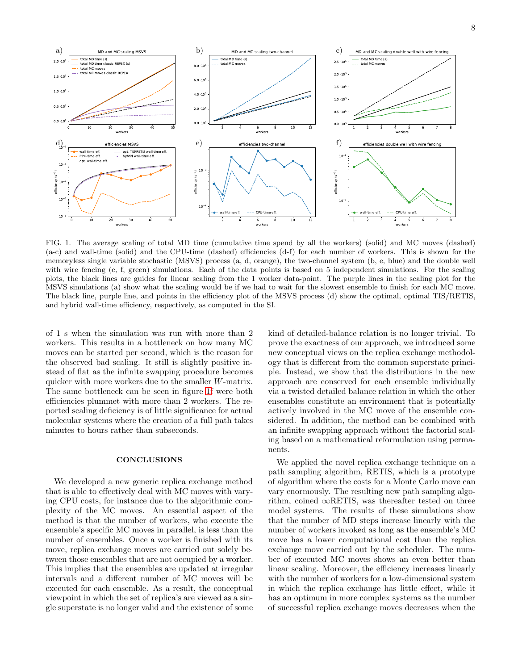

FIG. 1. The average scaling of total MD time (cumulative time spend by all the workers) (solid) and MC moves (dashed) (a-c) and wall-time (solid) and the CPU-time (dashed) efficiencies (d-f) for each number of workers. This is shown for the memoryless single variable stochastic (MSVS) process (a, d, orange), the two-channel system (b, e, blue) and the double well with wire fencing (c, f, green) simulations. Each of the data points is based on 5 independent simulations. For the scaling plots, the black lines are guides for linear scaling from the 1 worker data-point. The purple lines in the scaling plot for the MSVS simulations (a) show what the scaling would be if we had to wait for the slowest ensemble to finish for each MC move. The black line, purple line, and points in the efficiency plot of the MSVS process (d) show the optimal, optimal TIS/RETIS, and hybrid wall-time efficiency, respectively, as computed in the SI.

of 1 s when the simulation was run with more than 2 workers. This results in a bottleneck on how many MC moves can be started per second, which is the reason for the observed bad scaling. It still is slightly positive instead of flat as the infinite swapping procedure becomes quicker with more workers due to the smaller W-matrix. The same bottleneck can be seen in figure [1f](#page-21-4) were both efficiencies plummet with more than 2 workers. The reported scaling deficiency is of little significance for actual molecular systems where the creation of a full path takes minutes to hours rather than subseconds.

## **CONCLUSIONS**

We developed a new generic replica exchange method that is able to effectively deal with MC moves with varying CPU costs, for instance due to the algorithmic complexity of the MC moves. An essential aspect of the method is that the number of workers, who execute the ensemble's specific MC moves in parallel, is less than the number of ensembles. Once a worker is finished with its move, replica exchange moves are carried out solely between those ensembles that are not occupied by a worker. This implies that the ensembles are updated at irregular intervals and a different number of MC moves will be executed for each ensemble. As a result, the conceptual viewpoint in which the set of replica's are viewed as a single superstate is no longer valid and the existence of some kind of detailed-balance relation is no longer trivial. To prove the exactness of our approach, we introduced some new conceptual views on the replica exchange methodology that is different from the common superstate principle. Instead, we show that the distributions in the new approach are conserved for each ensemble individually via a twisted detailed balance relation in which the other ensembles constitute an environment that is potentially actively involved in the MC move of the ensemble considered. In addition, the method can be combined with an infinite swapping approach without the factorial scaling based on a mathematical reformulation using permanents.

We applied the novel replica exchange technique on a path sampling algorithm, RETIS, which is a prototype of algorithm where the costs for a Monte Carlo move can vary enormously. The resulting new path sampling algorithm, coined ∞RETIS, was thereafter tested on three model systems. The results of these simulations show that the number of MD steps increase linearly with the number of workers invoked as long as the ensemble's MC move has a lower computational cost than the replica exchange move carried out by the scheduler. The number of executed MC moves shows an even better than linear scaling. Moreover, the efficiency increases linearly with the number of workers for a low-dimensional system in which the replica exchange has little effect, while it has an optimum in more complex systems as the number of successful replica exchange moves decreases when the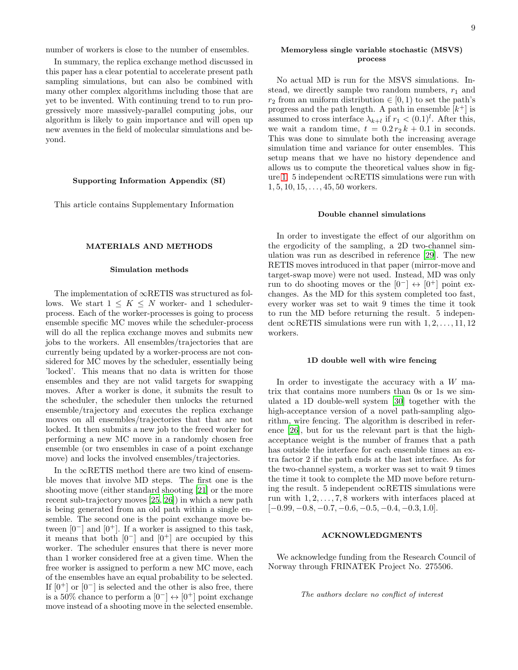In summary, the replica exchange method discussed in this paper has a clear potential to accelerate present path sampling simulations, but can also be combined with many other complex algorithms including those that are yet to be invented. With continuing trend to to run progressively more massively-parallel computing jobs, our algorithm is likely to gain importance and will open up new avenues in the field of molecular simulations and beyond.

# Supporting Information Appendix (SI)

This article contains Supplementary Information

# MATERIALS AND METHODS

#### Simulation methods

The implementation of ∞RETIS was structured as follows. We start  $1 \leq K \leq N$  worker- and 1 schedulerprocess. Each of the worker-processes is going to process ensemble specific MC moves while the scheduler-process will do all the replica exchange moves and submits new jobs to the workers. All ensembles/trajectories that are currently being updated by a worker-process are not considered for MC moves by the scheduler, essentially being 'locked'. This means that no data is written for those ensembles and they are not valid targets for swapping moves. After a worker is done, it submits the result to the scheduler, the scheduler then unlocks the returned ensemble/trajectory and executes the replica exchange moves on all ensembles/trajectories that that are not locked. It then submits a new job to the freed worker for performing a new MC move in a randomly chosen free ensemble (or two ensembles in case of a point exchange move) and locks the involved ensembles/trajectories.

In the  $\infty$ RETIS method there are two kind of ensemble moves that involve MD steps. The first one is the shooting move (either standard shooting [\[21\]](#page-9-15) or the more recent sub-trajectory moves [\[25,](#page-9-19) [26\]](#page-21-1)) in which a new path is being generated from an old path within a single ensemble. The second one is the point exchange move between  $[0^-]$  and  $[0^+]$ . If a worker is assigned to this task, it means that both  $[0-]$  and  $[0^+]$  are occupied by this worker. The scheduler ensures that there is never more than 1 worker considered free at a given time. When the free worker is assigned to perform a new MC move, each of the ensembles have an equal probability to be selected. If  $[0^+]$  or  $[0^-]$  is selected and the other is also free, there is a 50% chance to perform a  $[0^-] \leftrightarrow [0^+]$  point exchange move instead of a shooting move in the selected ensemble.

### Memoryless single variable stochastic (MSVS) process

No actual MD is run for the MSVS simulations. Instead, we directly sample two random numbers,  $r_1$  and  $r_2$  from an uniform distribution  $\in [0,1)$  to set the path's progress and the path length. A path in ensemble  $[k^+]$  is assumed to cross interface  $\lambda_{k+l}$  if  $r_1 < (0.1)^l$ . After this, we wait a random time,  $t = 0.2 r_2 k + 0.1$  in seconds. This was done to simulate both the increasing average simulation time and variance for outer ensembles. This setup means that we have no history dependence and allows us to compute the theoretical values show in fig-ure [1.](#page-21-4) 5 independent  $\infty$ RETIS simulations were run with  $1, 5, 10, 15, \ldots, 45, 50$  workers.

# Double channel simulations

In order to investigate the effect of our algorithm on the ergodicity of the sampling, a 2D two-channel simulation was run as described in reference [\[29](#page-21-2)]. The new RETIS moves introduced in that paper (mirror-move and target-swap move) were not used. Instead, MD was only run to do shooting moves or the  $[0^-] \leftrightarrow [0^+]$  point exchanges. As the MD for this system completed too fast, every worker was set to wait 9 times the time it took to run the MD before returning the result. 5 independent  $\infty$ RETIS simulations were run with  $1, 2, \ldots, 11, 12$ workers.

#### 1D double well with wire fencing

In order to investigate the accuracy with a  $W$  matrix that contains more numbers than 0s or 1s we simulated a 1D double-well system [\[30](#page-21-3)] together with the high-acceptance version of a novel path-sampling algorithm, wire fencing. The algorithm is described in reference [\[26\]](#page-21-1), but for us the relevant part is that the highacceptance weight is the number of frames that a path has outside the interface for each ensemble times an extra factor 2 if the path ends at the last interface. As for the two-channel system, a worker was set to wait 9 times the time it took to complete the MD move before returning the result. 5 independent  $\infty$ RETIS simulations were run with  $1, 2, \ldots, 7, 8$  workers with interfaces placed at  $[-0.99, -0.8, -0.7, -0.6, -0.5, -0.4, -0.3, 1.0].$ 

# ACKNOWLEDGMENTS

We acknowledge funding from the Research Council of Norway through FRINATEK Project No. 275506.

The authors declare no conflict of interest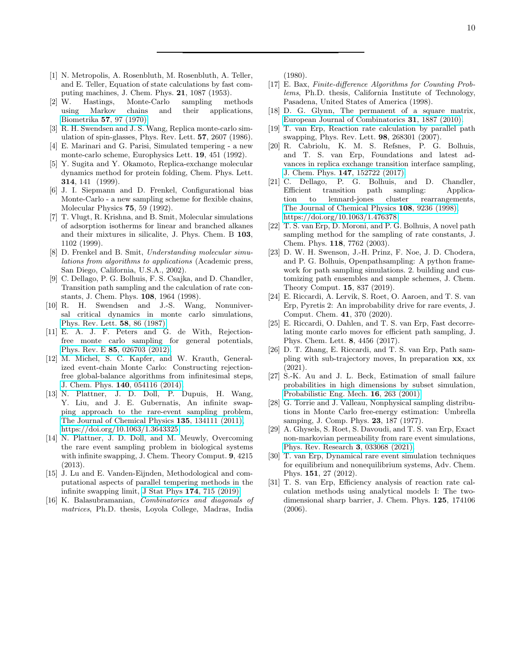- <span id="page-9-0"></span>[1] N. Metropolis, A. Rosenbluth, M. Rosenbluth, A. Teller, and E. Teller, Equation of state calculations by fast computing machines, J. Chem. Phys. 21, 1087 (1953).
- <span id="page-9-1"></span>[2] W. Hastings, Monte-Carlo sampling methods using Markov chains and their applications, Biometrika 57[, 97 \(1970\).](https://doi.org/10.2307/2334940)
- <span id="page-9-2"></span>[3] R. H. Swendsen and J. S. Wang, Replica monte-carlo simulation of spin-glasses, Phys. Rev. Lett. 57, 2607 (1986).
- [4] E. Marinari and G. Parisi, Simulated tempering a new monte-carlo scheme, Europhysics Lett. 19, 451 (1992).
- <span id="page-9-3"></span>[5] Y. Sugita and Y. Okamoto, Replica-exchange molecular dynamics method for protein folding, Chem. Phys. Lett. 314, 141 (1999).
- <span id="page-9-4"></span>[6] J. I. Siepmann and D. Frenkel, Configurational bias Monte-Carlo - a new sampling scheme for flexible chains, Molecular Physics 75, 59 (1992).
- [7] T. Vlugt, R. Krishna, and B. Smit, Molecular simulations of adsorption isotherms for linear and branched alkanes and their mixtures in silicalite, J. Phys. Chem. B 103, 1102 (1999).
- [8] D. Frenkel and B. Smit, Understanding molecular simulations from algorithms to applications (Academic press, San Diego, California, U.S.A., 2002).
- <span id="page-9-5"></span>[9] C. Dellago, P. G. Bolhuis, F. S. Csajka, and D. Chandler, Transition path sampling and the calculation of rate constants, J. Chem. Phys. 108, 1964 (1998).
- <span id="page-9-6"></span>[10] R. H. Swendsen and J.-S. Wang, Nonuniversal critical dynamics in monte carlo simulations, [Phys. Rev. Lett.](https://doi.org/10.1103/PhysRevLett.58.86) 58, 86 (1987).
- <span id="page-9-7"></span>[11] E. A. J. F. Peters and G. de With, Rejectionfree monte carlo sampling for general potentials, Phys. Rev. E 85[, 026703 \(2012\).](https://doi.org/10.1103/PhysRevE.85.026703)
- <span id="page-9-8"></span>[12] M. Michel, S. C. Kapfer, and W. Krauth, Generalized event-chain Monte Carlo: Constructing rejectionfree global-balance algorithms from infinitesimal steps, J. Chem. Phys. 140[, 054116 \(2014\).](https://doi.org/10.1063/1.4863991)
- <span id="page-9-9"></span>[13] N. Plattner, J. D. Doll, P. Dupuis, H. Wang, Y. Liu, and J. E. Gubernatis, An infinite swapping approach to the rare-event sampling problem, [The Journal of Chemical Physics](https://doi.org/10.1063/1.3643325) 135, 134111 (2011), [https://doi.org/10.1063/1.3643325.](https://arxiv.org/abs/https://doi.org/10.1063/1.3643325)
- [14] N. Plattner, J. D. Doll, and M. Meuwly, Overcoming the rare event sampling problem in biological systems with infinite swapping, J. Chem. Theory Comput. 9, 4215 (2013).
- <span id="page-9-10"></span>[15] J. Lu and E. Vanden-Eijnden, Methodological and computational aspects of parallel tempering methods in the infinite swapping limit, J Stat Phys 174[, 715 \(2019\).](https://doi.org/10.1007/s10955-018-2210-y)
- <span id="page-9-11"></span>[16] K. Balasubramanian, Combinatorics and diagonals of matrices, Ph.D. thesis, Loyola College, Madras, India

(1980).

- [17] E. Bax, Finite-difference Algorithms for Counting Problems, Ph.D. thesis, California Institute of Technology, Pasadena, United States of America (1998).
- <span id="page-9-12"></span>[18] D. G. Glynn, The permanent of a square matrix, [European Journal of Combinatorics](https://doi.org/10.1016/j.ejc.2010.01.010) 31, 1887 (2010).
- <span id="page-9-13"></span>[19] T. van Erp, Reaction rate calculation by parallel path swapping, Phys. Rev. Lett. 98, 268301 (2007).
- <span id="page-9-14"></span>[20] R. Cabriolu, K. M. S. Refsnes, P. G. Bolhuis, and T. S. van Erp, Foundations and latest advances in replica exchange transition interface sampling, J. Chem. Phys. 147[, 152722 \(2017\).](https://doi.org/{10.1063/1.4989844})
- <span id="page-9-15"></span>[21] C. Dellago, P. G. Bolhuis, and D. Chandler, Efficient transition path sampling: Application to lennard-jones cluster rearrangements, [The Journal of Chemical Physics](https://doi.org/10.1063/1.476378) 108, 9236 (1998), [https://doi.org/10.1063/1.476378.](https://arxiv.org/abs/https://doi.org/10.1063/1.476378)
- <span id="page-9-16"></span>[22] T. S. van Erp, D. Moroni, and P. G. Bolhuis, A novel path sampling method for the sampling of rate constants, J. Chem. Phys. 118, 7762 (2003).
- <span id="page-9-17"></span>[23] D. W. H. Swenson, J.-H. Prinz, F. Noe, J. D. Chodera, and P. G. Bolhuis, Openpathsampling: A python framework for path sampling simulations. 2. building and customizing path ensembles and sample schemes, J. Chem. Theory Comput. 15, 837 (2019).
- <span id="page-9-18"></span>[24] E. Riccardi, A. Lervik, S. Roet, O. Aaroen, and T. S. van Erp, Pyretis 2: An improbability drive for rare events, J. Comput. Chem. 41, 370 (2020).
- <span id="page-9-19"></span>[25] E. Riccardi, O. Dahlen, and T. S. van Erp, Fast decorrelating monte carlo moves for efficient path sampling, J. Phys. Chem. Lett. 8, 4456 (2017).
- [26] D. T. Zhang, E. Riccardi, and T. S. van Erp, Path sampling with sub-trajectory moves, In preparation xx, xx (2021).
- <span id="page-9-20"></span>[27] S.-K. Au and J. L. Beck, Estimation of small failure probabilities in high dimensions by subset simulation, [Probabilistic Eng. Mech.](https://doi.org/https://doi.org/10.1016/S0266-8920(01)00019-4) 16, 263 (2001).
- <span id="page-9-21"></span>[28] G. Torrie and J. Valleau, Nonphysical sampling distributions in Monte Carlo free-energy estimation: Umbrella samping, J. Comp. Phys. 23, 187 (1977).
- [29] A. Ghysels, S. Roet, S. Davoudi, and T. S. van Erp, Exact non-markovian permeability from rare event simulations, [Phys. Rev. Research](https://doi.org/10.1103/PhysRevResearch.3.033068) 3, 033068 (2021).
- [30] T. van Erp, Dynamical rare event simulation techniques for equilibrium and nonequilibrium systems, Adv. Chem. Phys. 151, 27 (2012).
- [31] T. S. van Erp, Efficiency analysis of reaction rate calculation methods using analytical models I: The twodimensional sharp barrier, J. Chem. Phys. 125, 174106 (2006).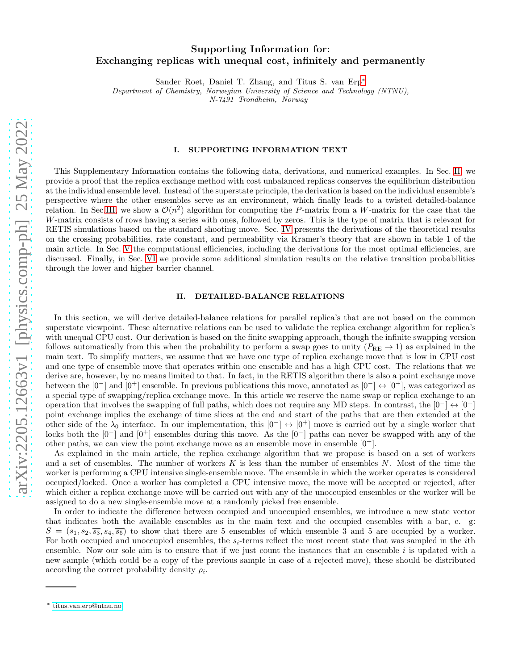# Supporting Information for: Exchanging replicas with unequal cost, infinitely and permanently

Sander Roet, Daniel T. Zhang, and Titus S. van Erp[∗](#page-10-0)

Department of Chemistry, Norwegian University of Science and Technology (NTNU),

N-7491 Trondheim, Norway

# I. SUPPORTING INFORMATION TEXT

This Supplementary Information contains the following data, derivations, and numerical examples. In Sec. [II,](#page-10-1) we provide a proof that the replica exchange method with cost unbalanced replicas conserves the equilibrium distribution at the individual ensemble level. Instead of the superstate principle, the derivation is based on the individual ensemble's perspective where the other ensembles serve as an environment, which finally leads to a twisted detailed-balance relation. In Sec[.III,](#page-14-0) we show a  $\mathcal{O}(n^2)$  algorithm for computing the P-matrix from a W-matrix for the case that the W-matrix consists of rows having a series with ones, followed by zeros. This is the type of matrix that is relevant for RETIS simulations based on the standard shooting move. Sec. [IV](#page-16-0) presents the derivations of the theoretical results on the crossing probabilities, rate constant, and permeability via Kramer's theory that are shown in table 1 of the main article. In Sec. [V](#page-18-0) the computational efficiencies, including the derivations for the most optimal efficiencies, are discussed. Finally, in Sec. [VI](#page-20-0) we provide some additional simulation results on the relative transition probabilities through the lower and higher barrier channel.

### <span id="page-10-1"></span>II. DETAILED-BALANCE RELATIONS

In this section, we will derive detailed-balance relations for parallel replica's that are not based on the common superstate viewpoint. These alternative relations can be used to validate the replica exchange algorithm for replica's with unequal CPU cost. Our derivation is based on the finite swapping approach, though the infinite swapping version follows automatically from this when the probability to perform a swap goes to unity  $(P_{RE} \rightarrow 1)$  as explained in the main text. To simplify matters, we assume that we have one type of replica exchange move that is low in CPU cost and one type of ensemble move that operates within one ensemble and has a high CPU cost. The relations that we derive are, however, by no means limited to that. In fact, in the RETIS algorithm there is also a point exchange move between the  $[0-]$  and  $[0^+]$  ensemble. In previous publications this move, annotated as  $[0-] \leftrightarrow [0^+]$ , was categorized as a special type of swapping/replica exchange move. In this article we reserve the name swap or replica exchange to an operation that involves the swapping of full paths, which does not require any MD steps. In contrast, the  $[0^-] \leftrightarrow [0^+]$ point exchange implies the exchange of time slices at the end and start of the paths that are then extended at the other side of the  $\lambda_0$  interface. In our implementation, this  $[0^-] \leftrightarrow [0^+]$  move is carried out by a single worker that locks both the [0<sup>−</sup>] and [0<sup>+</sup>] ensembles during this move. As the [0<sup>−</sup>] paths can never be swapped with any of the other paths, we can view the point exchange move as an ensemble move in ensemble  $[0^+]$ .

As explained in the main article, the replica exchange algorithm that we propose is based on a set of workers and a set of ensembles. The number of workers K is less than the number of ensembles  $N$ . Most of the time the worker is performing a CPU intensive single-ensemble move. The ensemble in which the worker operates is considered occupied/locked. Once a worker has completed a CPU intensive move, the move will be accepted or rejected, after which either a replica exchange move will be carried out with any of the unoccupied ensembles or the worker will be assigned to do a new single-ensemble move at a randomly picked free ensemble.

In order to indicate the difference between occupied and unoccupied ensembles, we introduce a new state vector that indicates both the available ensembles as in the main text and the occupied ensembles with a bar, e. g:  $S = (s_1, s_2, \overline{s_3}, s_4, \overline{s_5})$  to show that there are 5 ensembles of which ensemble 3 and 5 are occupied by a worker. For both occupied and unoccupied ensembles, the  $s_i$ -terms reflect the most recent state that was sampled in the *i*th ensemble. Now our sole aim is to ensure that if we just count the instances that an ensemble i is updated with a new sample (which could be a copy of the previous sample in case of a rejected move), these should be distributed according the correct probability density  $\rho_i$ .

<span id="page-10-0"></span><sup>∗</sup> [titus.van.erp@ntnu.no](mailto:titus.van.erp@ntnu.no)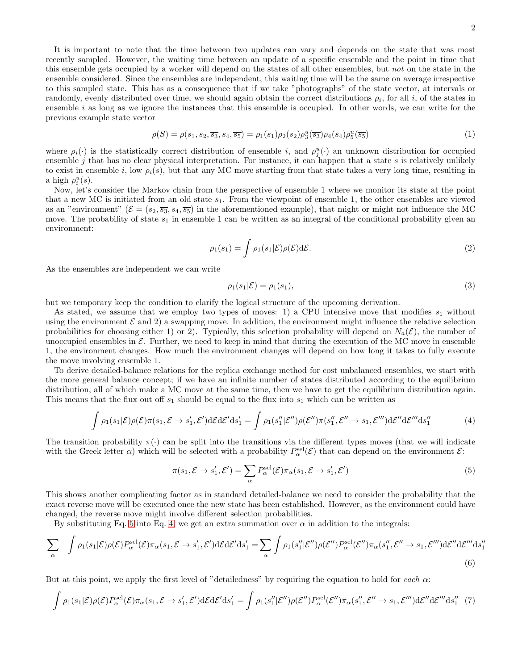It is important to note that the time between two updates can vary and depends on the state that was most recently sampled. However, the waiting time between an update of a specific ensemble and the point in time that this ensemble gets occupied by a worker will depend on the states of all other ensembles, but not on the state in the ensemble considered. Since the ensembles are independent, this waiting time will be the same on average irrespective to this sampled state. This has as a consequence that if we take "photographs" of the state vector, at intervals or randomly, evenly distributed over time, we should again obtain the correct distributions  $\rho_i$ , for all i, of the states in ensemble  $i$  as long as we ignore the instances that this ensemble is occupied. In other words, we can write for the previous example state vector

$$
\rho(S) = \rho(s_1, s_2, \overline{s_3}, s_4, \overline{s_5}) = \rho_1(s_1)\rho_2(s_2)\rho_3^u(\overline{s_3})\rho_4(s_4)\rho_5^u(\overline{s_5})
$$
\n(1)

where  $\rho_i(\cdot)$  is the statistically correct distribution of ensemble i, and  $\rho_j^u(\cdot)$  an unknown distribution for occupied ensemble  $j$  that has no clear physical interpretation. For instance, it can happen that a state  $s$  is relatively unlikely to exist in ensemble i, low  $\rho_i(s)$ , but that any MC move starting from that state takes a very long time, resulting in a high  $\rho_i^u(s)$ .

Now, let's consider the Markov chain from the perspective of ensemble 1 where we monitor its state at the point that a new MC is initiated from an old state  $s_1$ . From the viewpoint of ensemble 1, the other ensembles are viewed as an "environment" ( $\mathcal{E} = (s_2, \overline{s_3}, s_4, \overline{s_5})$  in the aforementioned example), that might or might not influence the MC move. The probability of state  $s_1$  in ensemble 1 can be written as an integral of the conditional probability given an environment:

<span id="page-11-4"></span>
$$
\rho_1(s_1) = \int \rho_1(s_1|\mathcal{E}) \rho(\mathcal{E}) d\mathcal{E}.
$$
\n(2)

As the ensembles are independent we can write

<span id="page-11-3"></span><span id="page-11-1"></span>
$$
\rho_1(s_1|\mathcal{E}) = \rho_1(s_1),\tag{3}
$$

but we temporary keep the condition to clarify the logical structure of the upcoming derivation.

As stated, we assume that we employ two types of moves: 1) a CPU intensive move that modifies  $s_1$  without using the environment  $\mathcal E$  and 2) a swapping move. In addition, the environment might influence the relative selection probabilities for choosing either 1) or 2). Typically, this selection probability will depend on  $N_a(\mathcal{E})$ , the number of unoccupied ensembles in  $\mathcal{E}$ . Further, we need to keep in mind that during the execution of the MC move in ensemble 1, the environment changes. How much the environment changes will depend on how long it takes to fully execute the move involving ensemble 1.

To derive detailed-balance relations for the replica exchange method for cost unbalanced ensembles, we start with the more general balance concept; if we have an infinite number of states distributed according to the equilibrium distribution, all of which make a MC move at the same time, then we have to get the equilibrium distribution again. This means that the flux out off  $s_1$  should be equal to the flux into  $s_1$  which can be written as

$$
\int \rho_1(s_1|\mathcal{E})\rho(\mathcal{E})\pi(s_1,\mathcal{E}\to s_1',\mathcal{E}')d\mathcal{E}d\mathcal{E}'ds_1' = \int \rho_1(s_1''|\mathcal{E}'')\rho(\mathcal{E}'')\pi(s_1'',\mathcal{E}''\to s_1,\mathcal{E}''')d\mathcal{E}''d\mathcal{E}'''ds_1''
$$
\n(4)

The transition probability  $\pi(\cdot)$  can be split into the transitions via the different types moves (that we will indicate with the Greek letter  $\alpha$ ) which will be selected with a probability  $P_\alpha^{\text{sel}}(\mathcal{E})$  that can depend on the environment  $\mathcal{E}$ :

<span id="page-11-2"></span><span id="page-11-0"></span>
$$
\pi(s_1, \mathcal{E} \to s_1', \mathcal{E}') = \sum_{\alpha} P_{\alpha}^{\text{sel}}(\mathcal{E}) \pi_{\alpha}(s_1, \mathcal{E} \to s_1', \mathcal{E}')
$$
(5)

This shows another complicating factor as in standard detailed-balance we need to consider the probability that the exact reverse move will be executed once the new state has been established. However, as the environment could have changed, the reverse move might involve different selection probabilities.

By substituting Eq. [5](#page-11-0) into Eq. [4,](#page-11-1) we get an extra summation over  $\alpha$  in addition to the integrals:

$$
\sum_{\alpha} \int \rho_1(s_1|\mathcal{E}) \rho(\mathcal{E}) P_{\alpha}^{\text{sel}}(\mathcal{E}) \pi_{\alpha}(s_1, \mathcal{E} \to s_1', \mathcal{E}') \text{d} \mathcal{E} \text{d} \mathcal{E}' \text{d} s_1' = \sum_{\alpha} \int \rho_1(s_1''|\mathcal{E}'') \rho(\mathcal{E}'') P_{\alpha}^{\text{sel}}(\mathcal{E}'') \pi_{\alpha}(s_1'', \mathcal{E}'' \to s_1, \mathcal{E}''') \text{d} \mathcal{E}'' \text{d} \mathcal{E}''' \text{d} s_1''
$$
\n(6)

But at this point, we apply the first level of "detailedness" by requiring the equation to hold for each  $\alpha$ :

$$
\int \rho_1(s_1|\mathcal{E})\rho(\mathcal{E})P_\alpha^{\text{sel}}(\mathcal{E})\pi_\alpha(s_1,\mathcal{E}\to s_1',\mathcal{E}')\text{d}\mathcal{E}\text{d}\mathcal{E}'\text{d}s_1' = \int \rho_1(s_1''|\mathcal{E}'')\rho(\mathcal{E}'')P_\alpha^{\text{sel}}(\mathcal{E}'')\pi_\alpha(s_1'',\mathcal{E}''\to s_1,\mathcal{E}''')\text{d}\mathcal{E}''\text{d}\mathcal{E}'''\text{d}s_1''\tag{7}
$$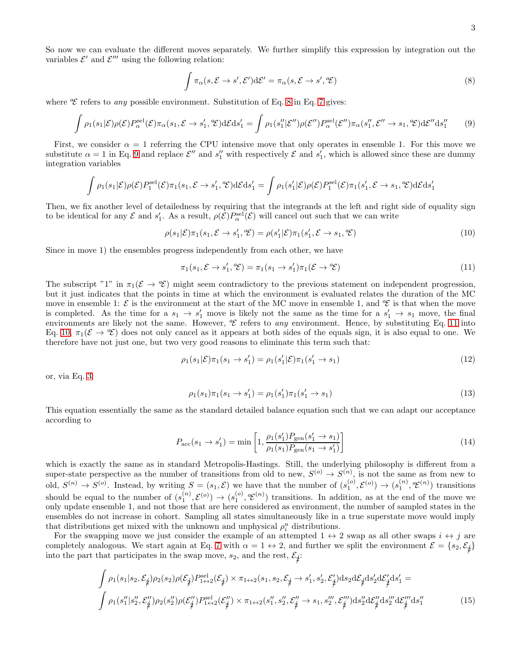So now we can evaluate the different moves separately. We further simplify this expression by integration out the variables  $\mathcal{E}'$  and  $\mathcal{E}'''$  using the following relation:

<span id="page-12-1"></span><span id="page-12-0"></span>
$$
\int \pi_{\alpha}(s,\mathcal{E} \to s',\mathcal{E}') d\mathcal{E}' = \pi_{\alpha}(s,\mathcal{E} \to s',\,^a\mathcal{E})
$$
\n(8)

where  $\mathscr E$  refers to any possible environment. Substitution of Eq. [8](#page-12-0) in Eq. [7](#page-11-2) gives:

$$
\int \rho_1(s_1|\mathcal{E})\rho(\mathcal{E})P_\alpha^{\text{sel}}(\mathcal{E})\pi_\alpha(s_1,\mathcal{E}\to s_1',\mathcal{E})\mathrm{d}\mathcal{E}\mathrm{d}s_1' = \int \rho_1(s_1''|\mathcal{E}'')\rho(\mathcal{E}'')P_\alpha^{\text{sel}}(\mathcal{E}'')\pi_\alpha(s_1'',\mathcal{E}''\to s_1,\mathcal{E})\mathrm{d}\mathcal{E}''\mathrm{d}s_1''\tag{9}
$$

First, we consider  $\alpha = 1$  referring the CPU intensive move that only operates in ensemble 1. For this move we substitute  $\alpha = 1$  in Eq. [9](#page-12-1) and replace  $\mathcal{E}''$  and  $s''_1$  with respectively  $\mathcal{E}$  and  $s'_1$ , which is allowed since these are dummy integration variables

$$
\int \rho_1(s_1|\mathcal{E})\rho(\mathcal{E})P_1^{\text{sel}}(\mathcal{E})\pi_1(s_1,\mathcal{E}\to s_1',\mathcal{E})\mathrm{d}\mathcal{E}\mathrm{d}s_1' = \int \rho_1(s_1'|\mathcal{E})\rho(\mathcal{E})P_1^{\text{sel}}(\mathcal{E})\pi_1(s_1',\mathcal{E}\to s_1,\mathcal{E})\mathrm{d}\mathcal{E}\mathrm{d}s_1'
$$

Then, we fix another level of detailedness by requiring that the integrands at the left and right side of equality sign to be identical for any  $\mathcal E$  and  $s'_1$ . As a result,  $\rho(\mathcal E)P_\alpha^{\text{sel}}(\mathcal E)$  will cancel out such that we can write

$$
\rho(s_1|\mathcal{E})\pi_1(s_1,\mathcal{E}\to s_1',\mathcal{E}) = \rho(s_1'|\mathcal{E})\pi_1(s_1',\mathcal{E}\to s_1,\mathcal{E})
$$
\n(10)

Since in move 1) the ensembles progress independently from each other, we have

<span id="page-12-3"></span><span id="page-12-2"></span>
$$
\pi_1(s_1, \mathcal{E} \to s_1', \,^a\! \mathcal{E}) = \pi_1(s_1 \to s_1') \pi_1(\mathcal{E} \to \,^a\! \mathcal{E}) \tag{11}
$$

The subscript "1" in  $\pi_1(\mathcal{E} \to \mathcal{E})$  might seem contradictory to the previous statement on independent progression, but it just indicates that the points in time at which the environment is evaluated relates the duration of the MC move in ensemble 1:  $\mathcal E$  is the environment at the start of the MC move in ensemble 1, and  $\mathcal E$  is that when the move is completed. As the time for a  $s_1 \to s'_1$  move is likely not the same as the time for a  $s'_1 \to s_1$  move, the final environments are likely not the same. However,  $\mathscr E$  refers to any environment. Hence, by substituting Eq. [11](#page-12-2) into Eq. [10,](#page-12-3)  $\pi_1(\mathcal{E} \to \mathcal{E})$  does not only cancel as it appears at both sides of the equals sign, it is also equal to one. We therefore have not just one, but two very good reasons to eliminate this term such that:

$$
\rho_1(s_1|\mathcal{E})\pi_1(s_1 \to s_1') = \rho_1(s_1'|\mathcal{E})\pi_1(s_1' \to s_1)
$$
\n(12)

or, via Eq. [3:](#page-11-3)

<span id="page-12-5"></span>
$$
\rho_1(s_1)\pi_1(s_1 \to s_1') = \rho_1(s_1')\pi_1(s_1' \to s_1)
$$
\n(13)

This equation essentially the same as the standard detailed balance equation such that we can adapt our acceptance according to

<span id="page-12-4"></span>
$$
P_{\rm acc}(s_1 \to s_1') = \min\left[1, \frac{\rho_1(s_1')P_{\rm gen}(s_1' \to s_1)}{\rho_1(s_1)P_{\rm gen}(s_1 \to s_1')} \right]
$$
(14)

which is exactly the same as in standard Metropolis-Hastings. Still, the underlying philosophy is different from a super-state perspective as the number of transitions from old to new,  $S^{(o)} \to S^{(n)}$ , is not the same as from new to old,  $S^{(n)} \to S^{(o)}$ . Instead, by writing  $S = (s_1, \mathcal{E})$  we have that the number of  $(s_1^{(o)}, \mathcal{E}^{(o)}) \to (s_1^{(n)}, \mathcal{E}^{(n)})$  transitions should be equal to the number of  $(s_1^{(n)}, \mathcal{E}^{(o)}) \to (s_1^{(o)}, \mathcal{E}^{(n)})$  transitions. In addition, as at the end of the move we only update ensemble 1, and not those that are here considered as environment, the number of sampled states in the ensembles do not increase in cohort. Sampling all states simultaneously like in a true superstate move would imply that distributions get mixed with the unknown and unphysical  $\rho_i^u$  distributions.

For the swapping move we just consider the example of an attempted  $1 \leftrightarrow 2$  swap as all other swaps  $i \leftrightarrow j$  are completely analogous. We start again at Eq. [7](#page-11-2) with  $\alpha = 1 \leftrightarrow 2$ , and further we split the environment  $\mathcal{E} = \{s_2, \mathcal{E}_j\}$ into the part that participates in the swap move,  $s_2$ , and the rest,  $\mathcal{E}_i$ :

$$
\int \rho_1(s_1|s_2, \mathcal{E}_{\underset{\mathcal{P}}{\mathcal{P}}}) \rho_2(s_2) \rho(\mathcal{E}_{\underset{\mathcal{P}}{\mathcal{P}}}) P_{1 \leftrightarrow 2}^{\text{sel}}(\mathcal{E}_{\underset{\mathcal{P}}{\mathcal{P}}}) \times \pi_{1 \leftrightarrow 2}(s_1, s_2, \mathcal{E}_{\underset{\mathcal{P}}{\mathcal{P}}}) \rightarrow s_1', s_2', \mathcal{E}_{\underset{\mathcal{P}}{\mathcal{P}}}) d s_2 d \mathcal{E}_{\underset{\mathcal{P}}{\mathcal{P}}} d s_2' d \mathcal{E}_{\underset{\mathcal{P}}{\mathcal{P}}} d s_1' d s_1' =
$$
\n
$$
\int \rho_1(s_1''|s_2'', \mathcal{E}_{\underset{\mathcal{P}}{\mathcal{P}}}) \rho_2(s_2'') \rho(\mathcal{E}_{\underset{\mathcal{P}}{\mathcal{P}}}) P_{1 \leftrightarrow 2}^{\text{sel}}(\mathcal{E}_{\underset{\mathcal{P}}{\mathcal{P}}}) \times \pi_{1 \leftrightarrow 2}(s_1'', s_2'', \mathcal{E}_{\underset{\mathcal{P}}{\mathcal{P}}}')
$$
\n
$$
\pi_{1 \leftrightarrow 2}(s_1'', s_2'', \mathcal{E}_{\underset{\mathcal{P}}{\mathcal{P}}}) d s_2'' d \mathcal{E}_{\underset{\mathcal{P}}{\mathcal{P}}}'' d s_2'' d \mathcal{E}_{\underset{\mathcal{P}}{\mathcal{P}}}'' d s_1''
$$
\n
$$
\tag{15}
$$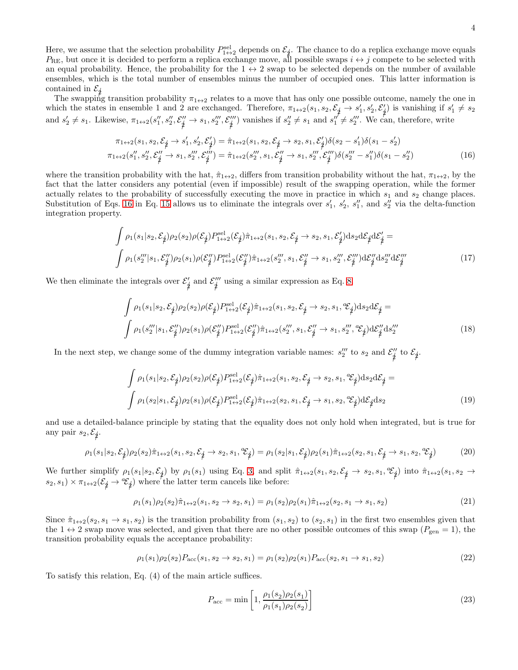Here, we assume that the selection probability  $P_{1\leftrightarrow 2}^{\text{sel}}$  depends on  $\mathcal{E}_j$ . The chance to do a replica exchange move equals  $P_{\text{RE}}$ , but once it is decided to perform a replica exchange move, all possible swaps  $i \leftrightarrow j$  compete to be selected with an equal probability. Hence, the probability for the  $1 \leftrightarrow 2$  swap to be selected depends on the number of available ensembles, which is the total number of ensembles minus the number of occupied ones. This latter information is contained in  $\mathcal{E}_\nparallel$ 

The swapping transition probability  $\pi_{1\leftrightarrow 2}$  relates to a move that has only one possible outcome, namely the one in which the states in ensemble 1 and 2 are exchanged. Therefore,  $\pi_{1\leftrightarrow2}(s_1, s_2, \mathcal{E}_j \rightarrow s'_1, s'_2, \mathcal{E}'_j)$  is vanishing if  $s'_1 \neq s_2$ and  $s_2' \neq s_1$ . Likewise,  $\pi_{1 \leftrightarrow 2}(s_1'', s_2'', \mathcal{E}_j'' \rightarrow s_1, s_2''', \mathcal{E}_j''')$  vanishes if  $s_2'' \neq s_1$  and  $s_1'' \neq s_2'''$ . We can, therefore, write

<span id="page-13-0"></span>
$$
\pi_{1 \leftrightarrow 2}(s_1, s_2, \mathcal{E}_{\underset{\mathbf{p}}{\not\sim}} \rightarrow s_1', s_2', \mathcal{E}_{\underset{\mathbf{p}}{\not\sim}}') = \hat{\pi}_{1 \leftrightarrow 2}(s_1, s_2, \mathcal{E}_{\underset{\mathbf{p}}{\not\sim}} \rightarrow s_2, s_1, \mathcal{E}_{\underset{\mathbf{p}}{\not\sim}}')\delta(s_2 - s_1')\delta(s_1 - s_2')
$$
\n
$$
\pi_{1 \leftrightarrow 2}(s_1'', s_2'', \mathcal{E}_{\underset{\mathbf{p}}{\not\sim}}' \rightarrow s_1, s_2''', \mathcal{E}_{\underset{\mathbf{p}}{\not\sim}}''') = \hat{\pi}_{1 \leftrightarrow 2}(s_2''', s_1, \mathcal{E}_{\underset{\mathbf{p}}{\not\sim}}'' \rightarrow s_1, s_2''', \mathcal{E}_{\underset{\mathbf{p}}{\not\sim}}''')\delta(s_2'' - s_1'')\delta(s_1 - s_2'')
$$
\n
$$
(16)
$$

where the transition probability with the hat,  $\hat{\pi}_{1 \leftrightarrow 2}$ , differs from transition probability without the hat,  $\pi_{1 \leftrightarrow 2}$ , by the fact that the latter considers any potential (even if impossible) result of the swapping operation, while the former actually relates to the probability of successfully executing the move in practice in which  $s_1$  and  $s_2$  change places. Substitution of Eqs. [16](#page-13-0) in Eq. [15](#page-12-4) allows us to eliminate the integrals over  $s'_1$ ,  $s'_2$ ,  $s''_1$ , and  $s''_2$  via the delta-function integration property.

$$
\int \rho_1(s_1|s_2, \mathcal{E}_{\underset{\mathcal{P}}{\neq}}) \rho_2(s_2) \rho(\mathcal{E}_{\underset{\mathcal{P}}{\neq}}) P_{1 \leftrightarrow 2}^{\text{sel}}(\mathcal{E}_{\underset{\mathcal{P}}{\neq}}) \hat{\pi}_{1 \leftrightarrow 2}(s_1, s_2, \mathcal{E}_{\underset{\mathcal{P}}{\neq}} \rightarrow s_2, s_1, \mathcal{E}_{\underset{\mathcal{P}}{\neq}}') \text{d} s_2 \text{d} \mathcal{E}_{\underset{\mathcal{P}}{\neq}} \mathcal{E}_{\underset{\mathcal{P}}{\neq}}' =
$$
\n
$$
\int \rho_1(s_2''' | s_1, \mathcal{E}_{\underset{\mathcal{P}}{\neq}}'') \rho_2(s_1) \rho(\mathcal{E}_{\underset{\mathcal{P}}{\neq}}'') P_{1 \leftrightarrow 2}^{\text{sel}}(\mathcal{E}_{\underset{\mathcal{P}}{\neq}}'') \hat{\pi}_{1 \leftrightarrow 2}(s_2''', s_1, \mathcal{E}_{\underset{\mathcal{P}}{\neq}}'' \rightarrow s_1, s_2'''', \mathcal{E}_{\underset{\mathcal{P}}{\neq}}''') \text{d} \mathcal{E}_{\underset{\mathcal{P}}{\neq}}'' \text{d} s_2''' \text{d} \mathcal{E}_{\underset{\mathcal{P}}{\neq}}'' \tag{17}
$$

We then eliminate the integrals over  $\mathcal{E}'_j$  and  $\mathcal{E}''_j$  using a similar expression as Eq. [8.](#page-12-0)

$$
\int \rho_1(s_1|s_2, \mathcal{E}_{\underset{\mathbf{p}}{\mathbf{p}}}) \rho_2(s_2) \rho(\mathcal{E}_{\underset{\mathbf{p}}{\mathbf{p}}}) P_{1 \leftrightarrow 2}^{\text{sel}}(\mathcal{E}_{\underset{\mathbf{p}}{\mathbf{p}}}) \hat{\pi}_{1 \leftrightarrow 2}(s_1, s_2, \mathcal{E}_{\underset{\mathbf{p}}{\mathbf{p}}} \rightarrow s_2, s_1, \mathcal{E}_{\underset{\mathbf{p}}{\mathbf{p}}}) \text{d} s_2 \text{d} \mathcal{E}_{\underset{\mathbf{p}}{\mathbf{p}}} =
$$
\n
$$
\int \rho_1(s_2''' | s_1, \mathcal{E}_{\underset{\mathbf{p}}{\mathbf{p}}}) \rho_2(s_1) \rho(\mathcal{E}_{\underset{\mathbf{p}}{\mathbf{p}}}) P_{1 \leftrightarrow 2}^{\text{sel}}(\mathcal{E}_{\underset{\mathbf{p}}{\mathbf{p}}}) \hat{\pi}_{1 \leftrightarrow 2}(s_2''', s_1, \mathcal{E}_{\underset{\mathbf{p}}{\mathbf{p}}}) \rightarrow s_1, s_2''', \mathcal{E}_{\underset{\mathbf{p}}{\mathbf{p}}}) \text{d} \mathcal{E}_{\underset{\mathbf{p}}{\mathbf{p}}'}^{\text{rel}} \text{d} s_2'''
$$
\n(18)

In the next step, we change some of the dummy integration variable names:  $s_2'''$  to  $s_2$  and  $\mathcal{E}_2''$  $\frac{\gamma}{2}'$  to  $\mathcal{E}_j$ .

$$
\int \rho_1(s_1|s_2, \mathcal{E}_{\underset{\mathcal{P}}{\phi}}) \rho_2(s_2) \rho(\mathcal{E}_{\underset{\mathcal{P}}{\phi}}) P_{1 \leftrightarrow 2}^{\text{sel}}(\mathcal{E}_{\underset{\mathcal{P}}{\phi}}) \hat{\pi}_{1 \leftrightarrow 2}(s_1, s_2, \mathcal{E}_{\underset{\mathcal{P}}{\phi}} \rightarrow s_2, s_1, \mathcal{E}_{\underset{\mathcal{P}}{\phi}}) \text{d} s_2 \text{d} \mathcal{E}_{\underset{\mathcal{P}}{\phi}} =
$$
\n
$$
\int \rho_1(s_2|s_1, \mathcal{E}_{\underset{\mathcal{P}}{\phi}}) \rho_2(s_1) \rho(\mathcal{E}_{\underset{\mathcal{P}}{\phi}}) P_{1 \leftrightarrow 2}^{\text{sel}}(\mathcal{E}_{\underset{\mathcal{P}}{\phi}}) \hat{\pi}_{1 \leftrightarrow 2}(s_2, s_1, \mathcal{E}_{\underset{\mathcal{P}}{\phi}} \rightarrow s_1, s_2, \mathcal{E}_{\underset{\mathcal{P}}{\phi}}) \text{d} \mathcal{E}_{\underset{\mathcal{P}}{\phi}} \text{d} s_2 \tag{19}
$$

and use a detailed-balance principle by stating that the equality does not only hold when integrated, but is true for any pair  $s_2, \mathcal{E}_j$ .

$$
\rho_1(s_1|s_2, \mathcal{E}_{\not\hat{\phi}})\rho_2(s_2)\hat{\pi}_{1\leftrightarrow 2}(s_1, s_2, \mathcal{E}_{\not\hat{\phi}} \to s_2, s_1, {}^a\mathcal{E}_{\not\hat{\phi}}) = \rho_1(s_2|s_1, \mathcal{E}_{\not\hat{\phi}})\rho_2(s_1)\hat{\pi}_{1\leftrightarrow 2}(s_2, s_1, \mathcal{E}_{\not\hat{\phi}} \to s_1, s_2, {}^a\mathcal{E}_{\not\hat{\phi}})
$$
(20)

We further simplify  $\rho_1(s_1|s_2, \mathcal{E}_j)$  by  $\rho_1(s_1)$  using Eq. [3,](#page-11-3) and split  $\hat{\pi}_{1\leftrightarrow 2}(s_1, s_2, \mathcal{E}_j \rightarrow s_2, s_1, \mathcal{E}_j)$  into  $\hat{\pi}_{1\leftrightarrow 2}(s_1, s_2 \rightarrow s_1, \mathcal{E}_j)$  $(s_2, s_1) \times \pi_{1 \leftrightarrow 2} (\mathcal{E}_j \rightarrow {}^{\alpha}\mathcal{E}_j)$  where the latter term cancels like before:

$$
\rho_1(s_1)\rho_2(s_2)\hat{\pi}_{1\leftrightarrow 2}(s_1, s_2 \to s_2, s_1) = \rho_1(s_2)\rho_2(s_1)\hat{\pi}_{1\leftrightarrow 2}(s_2, s_1 \to s_1, s_2)
$$
\n(21)

Since  $\hat{\pi}_{1\leftrightarrow 2}(s_2, s_1 \to s_1, s_2)$  is the transition probability from  $(s_1, s_2)$  to  $(s_2, s_1)$  in the first two ensembles given that the  $1 \leftrightarrow 2$  swap move was selected, and given that there are no other possible outcomes of this swap  $(P_{gen} = 1)$ , the transition probability equals the acceptance probability:

$$
\rho_1(s_1)\rho_2(s_2)P_{\text{acc}}(s_1, s_2 \to s_2, s_1) = \rho_1(s_2)\rho_2(s_1)P_{\text{acc}}(s_2, s_1 \to s_1, s_2)
$$
\n(22)

To satisfy this relation, Eq. (4) of the main article suffices.

<span id="page-13-1"></span>
$$
P_{\text{acc}} = \min\left[1, \frac{\rho_1(s_2)\rho_2(s_1)}{\rho_1(s_1)\rho_2(s_2)}\right]
$$
\n(23)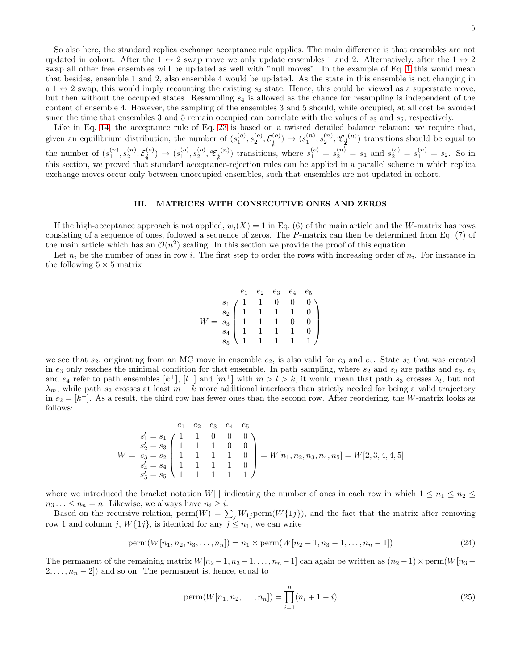5

So also here, the standard replica exchange acceptance rule applies. The main difference is that ensembles are not updated in cohort. After the  $1 \leftrightarrow 2$  swap move we only update ensembles 1 and 2. Alternatively, after the  $1 \leftrightarrow 2$ swap all other free ensembles will be updated as well with "null moves". In the example of Eq. [1](#page-11-4) this would mean that besides, ensemble 1 and 2, also ensemble 4 would be updated. As the state in this ensemble is not changing in a  $1 \leftrightarrow 2$  swap, this would imply recounting the existing  $s_4$  state. Hence, this could be viewed as a superstate move, but then without the occupied states. Resampling  $s<sub>4</sub>$  is allowed as the chance for resampling is independent of the content of ensemble 4. However, the sampling of the ensembles 3 and 5 should, while occupied, at all cost be avoided since the time that ensembles 3 and 5 remain occupied can correlate with the values of  $s_3$  and  $s_5$ , respectively.

Like in Eq. [14,](#page-12-5) the acceptance rule of Eq. [23](#page-13-1) is based on a twisted detailed balance relation: we require that, given an equilibrium distribution, the number of  $(s_1^{(o)}, s_2^{(o)}, \mathcal{E}_{\cancel{1}}^{(o)})$  $\begin{equation} \begin{pmatrix} \mathbf{c}^{(o)} \end{pmatrix} \rightarrow (s_1^{(n)}, s_2^{(n)}, \mathbf{c}_{\neq}^c) \end{equation}$  $(n)$ ) transitions should be equal to the number of  $(s_1^{(n)}, s_2^{(n)}, \mathcal{E}_j^{(o)}$  $(s^{(o)}_1) \rightarrow (s^{(o)}_1,s^{(o)}_2,{}^a\!\mathcal{E}_{\cancel{1}})$ <sup>(n)</sup>) transitions, where  $s_1^{(o)} = s_2^{(n)} = s_1$  and  $s_2^{(o)} = s_1^{(n)} = s_2$ . So in this section, we proved that standard acceptance-rejection rules can be applied in a parallel scheme in which replica exchange moves occur only between unoccupied ensembles, such that ensembles are not updated in cohort.

# <span id="page-14-0"></span>III. MATRICES WITH CONSECUTIVE ONES AND ZEROS

If the high-acceptance approach is not applied,  $w_i(X) = 1$  in Eq. (6) of the main article and the W-matrix has rows consisting of a sequence of ones, followed a sequence of zeros. The P-matrix can then be determined from Eq. (7) of the main article which has an  $\mathcal{O}(n^2)$  scaling. In this section we provide the proof of this equation.

Let  $n_i$  be the number of ones in row i. The first step to order the rows with increasing order of  $n_i$ . For instance in the following  $5 \times 5$  matrix

$$
W = \begin{pmatrix} e_1 & e_2 & e_3 & e_4 & e_5 \\ s_1 & 1 & 1 & 0 & 0 & 0 \\ s_2 & 1 & 1 & 1 & 1 & 0 \\ 1 & 1 & 1 & 1 & 0 & 0 \\ s_4 & 1 & 1 & 1 & 1 & 0 \\ s_5 & 1 & 1 & 1 & 1 & 1 \end{pmatrix}
$$

we see that  $s_2$ , originating from an MC move in ensemble  $e_2$ , is also valid for  $e_3$  and  $e_4$ . State  $s_3$  that was created in  $e_3$  only reaches the minimal condition for that ensemble. In path sampling, where  $s_2$  and  $s_3$  are paths and  $e_2$ ,  $e_3$ and  $e_4$  refer to path ensembles [k<sup>+</sup>], [l<sup>+</sup>] and [m<sup>+</sup>] with  $m > l > k$ , it would mean that path  $s_3$  crosses  $\lambda_l$ , but not  $\lambda_m$ , while path s<sub>2</sub> crosses at least  $m - k$  more additional interfaces than strictly needed for being a valid trajectory in  $e_2 = [k^+]$ . As a result, the third row has fewer ones than the second row. After reordering, the W-matrix looks as follows:

$$
\begin{array}{cccc}\ne_1 & e_2 & e_3 & e_4 & e_5 \\
s'_1 = s_1 & 1 & 1 & 0 & 0 & 0 \\
s'_2 = s_3 & 1 & 1 & 1 & 0 & 0 \\
s'_3 = s_4 & 1 & 1 & 1 & 1 & 0 \\
s'_4 = s_4 & 1 & 1 & 1 & 1 & 1\n\end{array} = W[n_1, n_2, n_3, n_4, n_5] = W[2, 3, 4, 4, 5]
$$

where we introduced the bracket notation W[·] indicating the number of ones in each row in which  $1 \leq n_1 \leq n_2 \leq$  $n_3 \ldots \leq n_n = n$ . Likewise, we always have  $n_i \geq i$ .

Based on the recursive relation,  $\text{perm}(W) = \sum_j W_{1j} \text{perm}(W\{1j\})$ , and the fact that the matrix after removing row 1 and column j,  $W{1j}$ , is identical for any  $j \leq n_1$ , we can write

$$
\text{perm}(W[n_1, n_2, n_3, \dots, n_n]) = n_1 \times \text{perm}(W[n_2 - 1, n_3 - 1, \dots, n_n - 1])
$$
\n(24)

The permanent of the remaining matrix  $W[n_2-1, n_3-1, \ldots, n_n-1]$  can again be written as  $(n_2-1)\times \text{perm}(W[n_3-1, \ldots, n_n-1])$  $2, \ldots, n_n - 2$ ) and so on. The permanent is, hence, equal to

perm
$$
(W[n_1, n_2, \dots, n_n]) = \prod_{i=1}^n (n_i + 1 - i)
$$
 (25)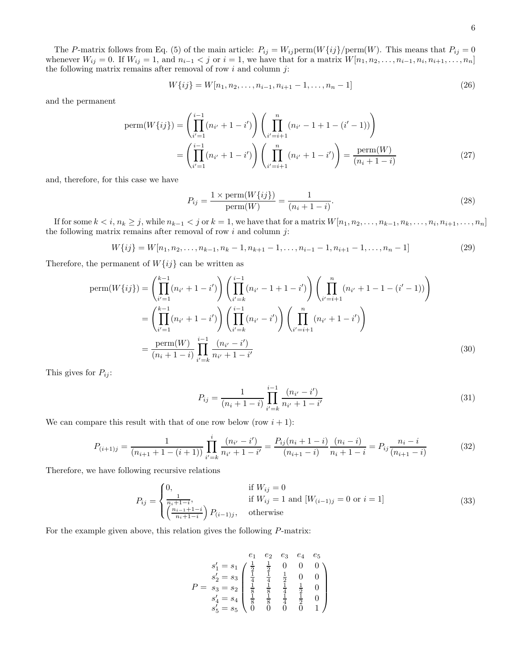$$
W\{ij\} = W[n_1, n_2, \dots, n_{i-1}, n_{i+1} - 1, \dots, n_n - 1]
$$
\n(26)

and the permanent

$$
\text{perm}(W\{ij\}) = \left(\prod_{i'=1}^{i-1} (n_{i'} + 1 - i')\right) \left(\prod_{i'=i+1}^n (n_{i'} - 1 + 1 - (i' - 1))\right)
$$
\n
$$
= \left(\prod_{i'=1}^{i-1} (n_{i'} + 1 - i')\right) \left(\prod_{i'=i+1}^n (n_{i'} + 1 - i')\right) = \frac{\text{perm}(W)}{(n_i + 1 - i)}\tag{27}
$$

and, therefore, for this case we have

$$
P_{ij} = \frac{1 \times \text{perm}(W\{ij\})}{\text{perm}(W)} = \frac{1}{(n_i + 1 - i)}.
$$
\n(28)

If for some  $k < i, n_k \geq j$ , while  $n_{k-1} < j$  or  $k = 1$ , we have that for a matrix  $W[n_1, n_2, \ldots, n_{k-1}, n_k, \ldots, n_i, n_{i+1}, \ldots, n_n]$ the following matrix remains after removal of row  $i$  and column  $j$ :

$$
W\{ij\} = W[n_1, n_2, \dots, n_{k-1}, n_k - 1, n_{k+1} - 1, \dots, n_{i-1} - 1, n_{i+1} - 1, \dots, n_n - 1]
$$
\n(29)

Therefore, the permanent of  $W\{ij\}$  can be written as

$$
\text{perm}(W\{ij\}) = \left(\prod_{i'=1}^{k-1} (n_{i'} + 1 - i')\right) \left(\prod_{i'=k}^{i-1} (n_{i'} - 1 + 1 - i')\right) \left(\prod_{i'=i+1}^{n} (n_{i'} + 1 - 1 - (i' - 1))\right)
$$
\n
$$
= \left(\prod_{i'=1}^{k-1} (n_{i'} + 1 - i')\right) \left(\prod_{i'=k}^{i-1} (n_{i'} - i')\right) \left(\prod_{i'=i+1}^{n} (n_{i'} + 1 - i')\right)
$$
\n
$$
= \frac{\text{perm}(W)}{(n_i + 1 - i)} \prod_{i'=k}^{i-1} \frac{(n_{i'} - i')}{n_{i'} + 1 - i'}
$$
\n(30)

This gives for  $P_{ij}$ :

$$
P_{ij} = \frac{1}{(n_i + 1 - i)} \prod_{i'=k}^{i-1} \frac{(n_{i'} - i')}{n_{i'} + 1 - i'}
$$
\n(31)

We can compare this result with that of one row below (row  $i + 1$ ):

$$
P_{(i+1)j} = \frac{1}{(n_{i+1}+1-(i+1))} \prod_{i'=k}^{i} \frac{(n_{i'}-i')}{n_{i'}+1-i'} = \frac{P_{ij}(n_i+1-i)}{(n_{i+1}-i)} \frac{(n_i-i)}{n_i+1-i} = P_{ij} \frac{n_i-i}{(n_{i+1}-i)}
$$
(32)

Therefore, we have following recursive relations

$$
P_{ij} = \begin{cases} 0, & \text{if } W_{ij} = 0 \\ \frac{1}{n_i + 1 - i}, & \text{if } W_{ij} = 1 \text{ and } [W_{(i-1)j} = 0 \text{ or } i = 1] \\ \left(\frac{n_{i-1} + 1 - i}{n_i + 1 - i}\right) P_{(i-1)j}, & \text{otherwise} \end{cases}
$$
(33)

For the example given above, this relation gives the following P-matrix:

$$
e_1 \quad e_2 \quad e_3 \quad e_4 \quad e_5
$$
  
\n
$$
s'_1 = s_1 \begin{pmatrix} \frac{1}{2} & \frac{1}{2} & 0 & 0 & 0 \\ \frac{1}{4} & \frac{1}{4} & \frac{1}{2} & 0 & 0 \\ \frac{1}{8} & \frac{1}{8} & \frac{1}{8} & \frac{1}{4} & \frac{1}{2} \\ s'_4 = s_4 \end{pmatrix}
$$
  
\n
$$
P = s_3 = s_2 \begin{pmatrix} \frac{1}{2} & \frac{1}{2} & 0 & 0 \\ \frac{1}{8} & \frac{1}{8} & \frac{1}{4} & \frac{1}{2} & 0 \\ \frac{1}{8} & \frac{1}{8} & \frac{1}{4} & \frac{1}{2} & 0 \\ 0 & 0 & 0 & 0 & 1 \end{pmatrix}
$$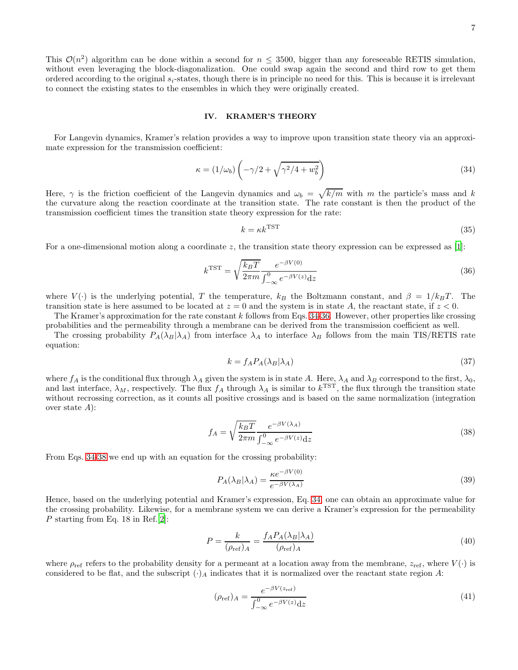This  $\mathcal{O}(n^2)$  algorithm can be done within a second for  $n \leq 3500$ , bigger than any foreseeable RETIS simulation, without even leveraging the block-diagonalization. One could swap again the second and third row to get them ordered according to the original  $s_i$ -states, though there is in principle no need for this. This is because it is irrelevant to connect the existing states to the ensembles in which they were originally created.

## <span id="page-16-0"></span>IV. KRAMER'S THEORY

For Langevin dynamics, Kramer's relation provides a way to improve upon transition state theory via an approximate expression for the transmission coefficient:

$$
\kappa = (1/\omega_b) \left( -\gamma/2 + \sqrt{\gamma^2/4 + w_b^2} \right) \tag{34}
$$

Here,  $\gamma$  is the friction coefficient of the Langevin dynamics and  $\omega_b = \sqrt{k/m}$  with m the particle's mass and k the curvature along the reaction coordinate at the transition state. The rate constant is then the product of the transmission coefficient times the transition state theory expression for the rate:

<span id="page-16-7"></span><span id="page-16-2"></span><span id="page-16-1"></span>
$$
k = \kappa k^{\text{TST}} \tag{35}
$$

For a one-dimensional motion along a coordinate z, the transition state theory expression can be expressed as  $[1]$ :

$$
k^{\text{TST}} = \sqrt{\frac{k_B T}{2\pi m}} \frac{e^{-\beta V(0)}}{\int_{-\infty}^0 e^{-\beta V(z)} \mathrm{d}z} \tag{36}
$$

where  $V(\cdot)$  is the underlying potential, T the temperature,  $k_B$  the Boltzmann constant, and  $\beta = 1/k_BT$ . The transition state is here assumed to be located at  $z = 0$  and the system is in state A, the reactant state, if  $z < 0$ .

The Kramer's approximation for the rate constant  $k$  follows from Eqs. [34-](#page-16-1)[36.](#page-16-2) However, other properties like crossing probabilities and the permeability through a membrane can be derived from the transmission coefficient as well.

The crossing probability  $P_A(\lambda_B|\lambda_A)$  from interface  $\lambda_A$  to interface  $\lambda_B$  follows from the main TIS/RETIS rate equation:

<span id="page-16-3"></span>
$$
k = f_A P_A(\lambda_B | \lambda_A) \tag{37}
$$

where  $f_A$  is the conditional flux through  $\lambda_A$  given the system is in state A. Here,  $\lambda_A$  and  $\lambda_B$  correspond to the first,  $\lambda_0$ , and last interface,  $\lambda_M$ , respectively. The flux  $f_A$  through  $\lambda_A$  is similar to  $k^{TST}$ , the flux through the transition state without recrossing correction, as it counts all positive crossings and is based on the same normalization (integration over state  $A$ :

$$
f_A = \sqrt{\frac{k_B T}{2\pi m}} \frac{e^{-\beta V(\lambda_A)}}{\int_{-\infty}^{0} e^{-\beta V(z)} dz}
$$
(38)

From Eqs. [34-](#page-16-1)[38](#page-16-3) we end up with an equation for the crossing probability:

<span id="page-16-6"></span>
$$
P_A(\lambda_B|\lambda_A) = \frac{\kappa e^{-\beta V(0)}}{e^{-\beta V(\lambda_A)}}
$$
\n(39)

Hence, based on the underlying potential and Kramer's expression, Eq. [34,](#page-16-1) one can obtain an approximate value for the crossing probability. Likewise, for a membrane system we can derive a Kramer's expression for the permeability P starting from Eq. 18 in Ref.[\[2](#page-21-2)]:

$$
P = \frac{k}{(\rho_{\text{ref}})_A} = \frac{f_A P_A(\lambda_B|\lambda_A)}{(\rho_{\text{ref}})_A} \tag{40}
$$

where  $\rho_{ref}$  refers to the probability density for a permeant at a location away from the membrane,  $z_{ref}$ , where  $V(\cdot)$  is considered to be flat, and the subscript  $(\cdot)_A$  indicates that it is normalized over the reactant state region A:

<span id="page-16-5"></span><span id="page-16-4"></span>
$$
(\rho_{\rm ref})_A = \frac{e^{-\beta V(z_{\rm ref})}}{\int_{-\infty}^0 e^{-\beta V(z)} dz}
$$
(41)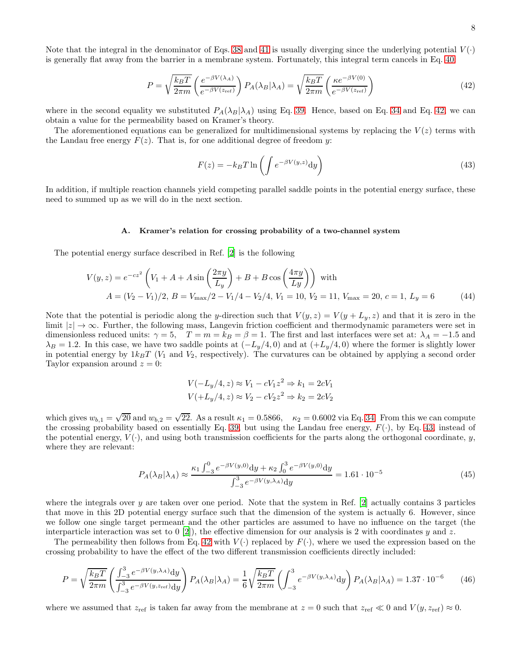Note that the integral in the denominator of Eqs. [38](#page-16-3) and [41](#page-16-4) is usually diverging since the underlying potential  $V(\cdot)$ is generally flat away from the barrier in a membrane system. Fortunately, this integral term cancels in Eq. [40:](#page-16-5)

$$
P = \sqrt{\frac{k_B T}{2\pi m}} \left( \frac{e^{-\beta V(\lambda_A)}}{e^{-\beta V(z_{\text{ref}})}} \right) P_A(\lambda_B|\lambda_A) = \sqrt{\frac{k_B T}{2\pi m}} \left( \frac{\kappa e^{-\beta V(0)}}{e^{-\beta V(z_{\text{ref}})}} \right)
$$
(42)

where in the second equality we substituted  $P_A(\lambda_B|\lambda_A)$  using Eq. [39.](#page-16-6) Hence, based on Eq. [34](#page-16-1) and Eq. [42,](#page-17-0) we can obtain a value for the permeability based on Kramer's theory.

The aforementioned equations can be generalized for multidimensional systems by replacing the  $V(z)$  terms with the Landau free energy  $F(z)$ . That is, for one additional degree of freedom y:

<span id="page-17-1"></span><span id="page-17-0"></span>
$$
F(z) = -k_B T \ln \left( \int e^{-\beta V(y,z)} dy \right)
$$
\n(43)

In addition, if multiple reaction channels yield competing parallel saddle points in the potential energy surface, these need to summed up as we will do in the next section.

### A. Kramer's relation for crossing probability of a two-channel system

The potential energy surface described in Ref. [\[2](#page-21-2)] is the following

$$
V(y, z) = e^{-cz^2} \left( V_1 + A + A \sin\left(\frac{2\pi y}{L_y}\right) + B + B \cos\left(\frac{4\pi y}{L_y}\right) \right)
$$
 with  

$$
A = (V_2 - V_1)/2, B = V_{\text{max}}/2 - V_1/4 - V_2/4, V_1 = 10, V_2 = 11, V_{\text{max}} = 20, c = 1, L_y = 6
$$
 (44)

Note that the potential is periodic along the y-direction such that  $V(y, z) = V(y + L_y, z)$  and that it is zero in the limit  $|z| \to \infty$ . Further, the following mass, Langevin friction coefficient and thermodynamic parameters were set in dimensionless reduced units:  $\gamma = 5$ ,  $T = m = k_B = \beta = 1$ . The first and last interfaces were set at:  $\lambda_A = -1.5$  and  $\lambda_B = 1.2$ . In this case, we have two saddle points at  $(-L_y/4, 0)$  and at  $(+L_y/4, 0)$  where the former is slightly lower in potential energy by  $1k_BT$  ( $V_1$  and  $V_2$ , respectively). The curvatures can be obtained by applying a second order Taylor expansion around  $z = 0$ :

$$
V(-L_y/4, z) \approx V_1 - cV_1 z^2 \Rightarrow k_1 = 2cV_1
$$
  

$$
V(+L_y/4, z) \approx V_2 - cV_2 z^2 \Rightarrow k_2 = 2cV_2
$$

which gives  $w_{b,1} = \sqrt{20}$  and  $w_{b,2} = \sqrt{22}$ . As a result  $\kappa_1 = 0.5866$ ,  $\kappa_2 = 0.6002$  via Eq. [34.](#page-16-1) From this we can compute the crossing probability based on essentially Eq. [39,](#page-16-6) but using the Landau free energy,  $F(\cdot)$ , by Eq. [43,](#page-17-1) instead of the potential energy,  $V(\cdot)$ , and using both transmission coefficients for the parts along the orthogonal coordinate, y, where they are relevant:

$$
P_A(\lambda_B|\lambda_A) \approx \frac{\kappa_1 \int_{-3}^0 e^{-\beta V(y,0)} dy + \kappa_2 \int_0^3 e^{-\beta V(y,0)} dy}{\int_{-3}^3 e^{-\beta V(y,\lambda_A)} dy} = 1.61 \cdot 10^{-5}
$$
\n(45)

where the integrals over y are taken over one period. Note that the system in Ref. [\[2](#page-21-2)] actually contains 3 particles that move in this 2D potential energy surface such that the dimension of the system is actually 6. However, since we follow one single target permeant and the other particles are assumed to have no influence on the target (the interparticle interaction was set to  $[2]$ , the effective dimension for our analysis is 2 with coordinates y and z.

The permeability then follows from Eq. [42](#page-17-0) with  $V(\cdot)$  replaced by  $F(\cdot)$ , where we used the expression based on the crossing probability to have the effect of the two different transmission coefficients directly included:

$$
P = \sqrt{\frac{k_B T}{2\pi m}} \left( \frac{\int_{-3}^{3} e^{-\beta V(y,\lambda_A)} dy}{\int_{-3}^{3} e^{-\beta V(y,z_{\text{ref}})} dy} \right) P_A(\lambda_B|\lambda_A) = \frac{1}{6} \sqrt{\frac{k_B T}{2\pi m}} \left( \int_{-3}^{3} e^{-\beta V(y,\lambda_A)} dy \right) P_A(\lambda_B|\lambda_A) = 1.37 \cdot 10^{-6} \tag{46}
$$

where we assumed that  $z_{\text{ref}}$  is taken far away from the membrane at  $z = 0$  such that  $z_{\text{ref}} \ll 0$  and  $V(y, z_{\text{ref}}) \approx 0$ .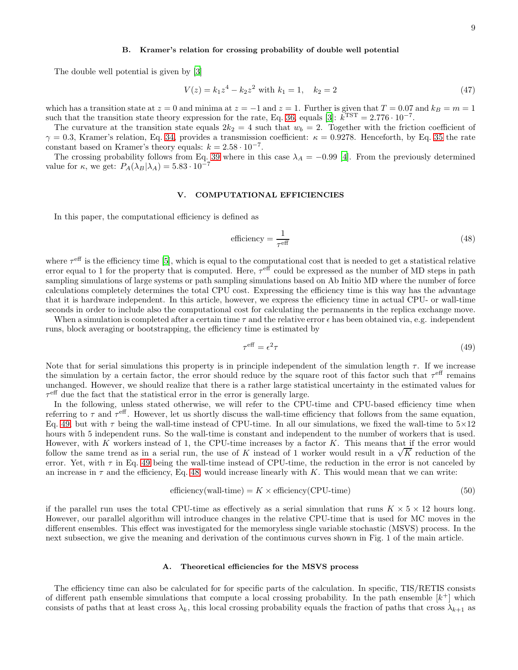### B. Kramer's relation for crossing probability of double well potential

The double well potential is given by [\[3\]](#page-21-3)

$$
V(z) = k_1 z^4 - k_2 z^2 \text{ with } k_1 = 1, \quad k_2 = 2 \tag{47}
$$

which has a transition state at  $z = 0$  and minima at  $z = -1$  and  $z = 1$ . Further is given that  $T = 0.07$  and  $k_B = m = 1$ such that the transition state theory expression for the rate, Eq. [36,](#page-16-2) equals [\[3](#page-21-3)]:  $k^{\text{TST}} = 2.776 \cdot 10^{-7}$ .

The curvature at the transition state equals  $2k_2 = 4$  such that  $w_b = 2$ . Together with the friction coefficient of  $\gamma = 0.3$ , Kramer's relation, Eq. [34,](#page-16-1) provides a transmission coefficient:  $\kappa = 0.9278$ . Henceforth, by Eq. [35](#page-16-7) the rate constant based on Kramer's theory equals:  $k = 2.58 \cdot 10^{-7}$ .

The crossing probability follows from Eq. [39](#page-16-6) where in this case  $\lambda_A = -0.99$  [\[4](#page-21-1)]. From the previously determined value for  $\kappa$ , we get:  $P_A(\lambda_B|\lambda_A) = 5.83 \cdot 10^{-7}$ 

### <span id="page-18-0"></span>V. COMPUTATIONAL EFFICIENCIES

In this paper, the computational efficiency is defined as

<span id="page-18-2"></span>efficiency = 
$$
\frac{1}{\tau^{\text{eff}}}
$$
 (48)

where  $\tau^{\text{eff}}$  is the efficiency time [\[5](#page-21-5)], which is equal to the computational cost that is needed to get a statistical relative error equal to 1 for the property that is computed. Here,  $\tau^{\text{eff}}$  could be expressed as the number of MD steps in path sampling simulations of large systems or path sampling simulations based on Ab Initio MD where the number of force calculations completely determines the total CPU cost. Expressing the efficiency time is this way has the advantage that it is hardware independent. In this article, however, we express the efficiency time in actual CPU- or wall-time seconds in order to include also the computational cost for calculating the permanents in the replica exchange move.

When a simulation is completed after a certain time  $\tau$  and the relative error  $\epsilon$  has been obtained via, e.g. independent runs, block averaging or bootstrapping, the efficiency time is estimated by

<span id="page-18-3"></span><span id="page-18-1"></span>
$$
\tau^{\text{eff}} = \epsilon^2 \tau \tag{49}
$$

Note that for serial simulations this property is in principle independent of the simulation length  $\tau$ . If we increase the simulation by a certain factor, the error should reduce by the square root of this factor such that  $\tau^{\text{eff}}$  remains unchanged. However, we should realize that there is a rather large statistical uncertainty in the estimated values for  $\tau^{\text{eff}}$  due the fact that the statistical error in the error is generally large.

In the following, unless stated otherwise, we will refer to the CPU-time and CPU-based efficiency time when referring to  $\tau$  and  $\tau^{\text{eff}}$ . However, let us shortly discuss the wall-time efficiency that follows from the same equation, Eq. [49,](#page-18-1) but with  $\tau$  being the wall-time instead of CPU-time. In all our simulations, we fixed the wall-time to  $5\times12$ hours with 5 independent runs. So the wall-time is constant and independent to the number of workers that is used. However, with K workers instead of 1, the CPU-time increases by a factor K. This means that if the error would follow the same trend as in a serial run, the use of K instead of 1 worker would result in a  $\sqrt{K}$  reduction of the error. Yet, with  $\tau$  in Eq. [49](#page-18-1) being the wall-time instead of CPU-time, the reduction in the error is not canceled by an increase in  $\tau$  and the efficiency, Eq. [48,](#page-18-2) would increase linearly with K. This would mean that we can write:

$$
\text{efficiency}(\text{wall-time}) = K \times \text{efficiency}(\text{CPU-time}) \tag{50}
$$

if the parallel run uses the total CPU-time as effectively as a serial simulation that runs  $K \times 5 \times 12$  hours long. However, our parallel algorithm will introduce changes in the relative CPU-time that is used for MC moves in the different ensembles. This effect was investigated for the memoryless single variable stochastic (MSVS) process. In the next subsection, we give the meaning and derivation of the continuous curves shown in Fig. 1 of the main article.

### A. Theoretical efficiencies for the MSVS process

The efficiency time can also be calculated for for specific parts of the calculation. In specific, TIS/RETIS consists of different path ensemble simulations that compute a local crossing probability. In the path ensemble  $[k^+]$  which consists of paths that at least cross  $\lambda_k$ , this local crossing probability equals the fraction of paths that cross  $\lambda_{k+1}$  as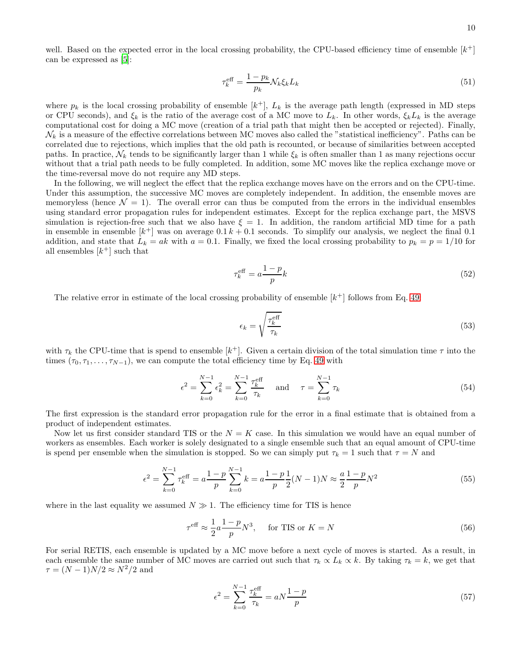10

well. Based on the expected error in the local crossing probability, the CPU-based efficiency time of ensemble  $[k^+]$ can be expressed as [\[5\]](#page-21-5):

$$
\tau_k^{\text{eff}} = \frac{1 - p_k}{p_k} \mathcal{N}_k \xi_k L_k \tag{51}
$$

where  $p_k$  is the local crossing probability of ensemble  $[k^+]$ ,  $L_k$  is the average path length (expressed in MD steps or CPU seconds), and  $\xi_k$  is the ratio of the average cost of a MC move to  $L_k$ . In other words,  $\xi_k L_k$  is the average computational cost for doing a MC move (creation of a trial path that might then be accepted or rejected). Finally,  $\mathcal{N}_k$  is a measure of the effective correlations between MC moves also called the "statistical inefficiency". Paths can be correlated due to rejections, which implies that the old path is recounted, or because of similarities between accepted paths. In practice,  $\mathcal{N}_k$  tends to be significantly larger than 1 while  $\xi_k$  is often smaller than 1 as many rejections occur without that a trial path needs to be fully completed. In addition, some MC moves like the replica exchange move or the time-reversal move do not require any MD steps.

In the following, we will neglect the effect that the replica exchange moves have on the errors and on the CPU-time. Under this assumption, the successive MC moves are completely independent. In addition, the ensemble moves are memoryless (hence  $\mathcal{N} = 1$ ). The overall error can thus be computed from the errors in the individual ensembles using standard error propagation rules for independent estimates. Except for the replica exchange part, the MSVS simulation is rejection-free such that we also have  $\xi = 1$ . In addition, the random artificial MD time for a path in ensemble in ensemble  $[k^+]$  was on average  $0.1 k + 0.1$  seconds. To simplify our analysis, we neglect the final 0.1 addition, and state that  $L_k = ak$  with  $a = 0.1$ . Finally, we fixed the local crossing probability to  $p_k = p = 1/10$  for all ensembles  $[k^+]$  such that

$$
\tau_k^{\text{eff}} = a \frac{1 - p}{p} k \tag{52}
$$

The relative error in estimate of the local crossing probability of ensemble  $[k^+]$  follows from Eq. [49:](#page-18-1)

<span id="page-19-1"></span><span id="page-19-0"></span>
$$
\epsilon_k = \sqrt{\frac{\tau_k^{\text{eff}}}{\tau_k}}
$$
\n(53)

with  $\tau_k$  the CPU-time that is spend to ensemble  $[k^+]$ . Given a certain division of the total simulation time  $\tau$  into the times ( $\tau_0, \tau_1, \ldots, \tau_{N-1}$ ), we can compute the total efficiency time by Eq. [49](#page-18-1) with

$$
\epsilon^2 = \sum_{k=0}^{N-1} \epsilon_k^2 = \sum_{k=0}^{N-1} \frac{\tau_k^{\text{eff}}}{\tau_k} \quad \text{and} \quad \tau = \sum_{k=0}^{N-1} \tau_k \tag{54}
$$

The first expression is the standard error propagation rule for the error in a final estimate that is obtained from a product of independent estimates.

Now let us first consider standard TIS or the  $N = K$  case. In this simulation we would have an equal number of workers as ensembles. Each worker is solely designated to a single ensemble such that an equal amount of CPU-time is spend per ensemble when the simulation is stopped. So we can simply put  $\tau_k = 1$  such that  $\tau = N$  and

$$
\epsilon^2 = \sum_{k=0}^{N-1} \tau_k^{\text{eff}} = a \frac{1-p}{p} \sum_{k=0}^{N-1} k = a \frac{1-p}{p} \frac{1}{2} (N-1) N \approx \frac{a}{2} \frac{1-p}{p} N^2
$$
\n(55)

where in the last equality we assumed  $N \gg 1$ . The efficiency time for TIS is hence

$$
\tau^{\text{eff}} \approx \frac{1}{2} a \frac{1-p}{p} N^3, \quad \text{for TIS or } K = N \tag{56}
$$

For serial RETIS, each ensemble is updated by a MC move before a next cycle of moves is started. As a result, in each ensemble the same number of MC moves are carried out such that  $\tau_k \propto L_k \propto k$ . By taking  $\tau_k = k$ , we get that  $\tau = (N-1)N/2 \approx N^2/2$  and

$$
\epsilon^2 = \sum_{k=0}^{N-1} \frac{\tau_k^{\text{eff}}}{\tau_k} = aN \frac{1-p}{p}
$$
\n(57)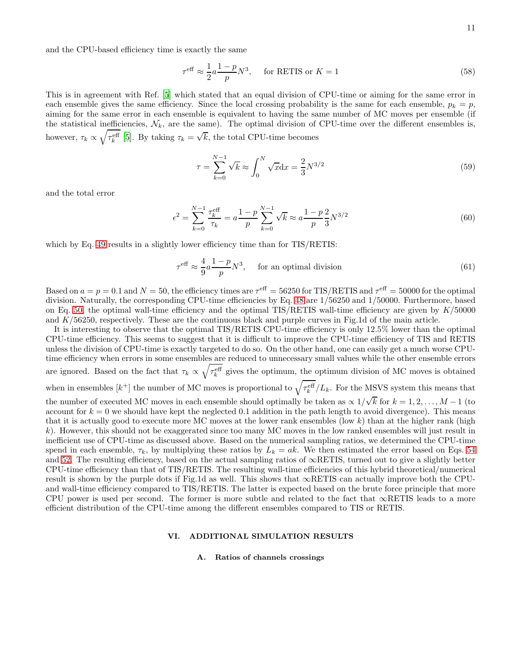and the CPU-based efficiency time is exactly the same

$$
\tau^{\text{eff}} \approx \frac{1}{2} a \frac{1-p}{p} N^3, \quad \text{for RETIS or } K = 1
$$
\n(58)

This is in agreement with Ref. [\[5\]](#page-21-5) which stated that an equal division of CPU-time or aiming for the same error in each ensemble gives the same efficiency. Since the local crossing probability is the same for each ensemble,  $p_k = p$ , aiming for the same error in each ensemble is equivalent to having the same number of MC moves per ensemble (if the statistical inefficiencies,  $\mathcal{N}_k$ , are the same). The optimal division of CPU-time over the different ensembles is, however,  $\tau_k \propto \sqrt{\tau_k^{\text{eff}}}$  [\[5](#page-21-5)]. By taking  $\tau_k = \sqrt{k}$ , the total CPU-time becomes

$$
\tau = \sum_{k=0}^{N-1} \sqrt{k} \approx \int_0^N \sqrt{x} dx = \frac{2}{3} N^{3/2}
$$
\n(59)

and the total error

$$
\epsilon^2 = \sum_{k=0}^{N-1} \frac{\tau_k^{\text{eff}}}{\tau_k} = a \frac{1-p}{p} \sum_{k=0}^{N-1} \sqrt{k} \approx a \frac{1-p}{p} \frac{2}{3} N^{3/2} \tag{60}
$$

which by Eq. [49](#page-18-1) results in a slightly lower efficiency time than for TIS/RETIS:

$$
\tau^{\text{eff}} \approx \frac{4}{9} a \frac{1-p}{p} N^3, \quad \text{for an optimal division} \tag{61}
$$

Based on  $a = p = 0.1$  and  $N = 50$ , the efficiency times are  $\tau^{\text{eff}} = 56250$  for TIS/RETIS and  $\tau^{\text{eff}} = 50000$  for the optimal division. Naturally, the corresponding CPU-time efficiencies by Eq. [48](#page-18-2) are 1/56250 and 1/50000. Furthermore, based on Eq. [50,](#page-18-3) the optimal wall-time efficiency and the optimal TIS/RETIS wall-time efficiency are given by  $K/50000$ and  $K/56250$ , respectively. These are the continuous black and purple curves in Fig.1d of the main article.

It is interesting to observe that the optimal TIS/RETIS CPU-time efficiency is only 12.5% lower than the optimal CPU-time efficiency. This seems to suggest that it is difficult to improve the CPU-time efficiency of TIS and RETIS unless the division of CPU-time is exactly targeted to do so. On the other hand, one can easily get a much worse CPUtime efficiency when errors in some ensembles are reduced to unnecessary small values while the other ensemble errors are ignored. Based on the fact that  $\tau_k \propto \sqrt{\tau_k^{\text{eff}}}$  gives the optimum, the optimum division of MC moves is obtained when in ensembles  $[k^+]$  the number of MC moves is proportional to  $\sqrt{\tau_k^{\text{eff}}}/L_k$ . For the MSVS system this means that the number of executed MC moves in each ensemble should optimally be taken as  $\propto 1/\sqrt{k}$  for  $k = 1, 2, ..., M - 1$  (to account for  $k = 0$  we should have kept the neglected 0.1 addition in the path length to avoid divergence). This means that it is actually good to execute more MC moves at the lower rank ensembles (low k) than at the higher rank (high k). However, this should not be exaggerated since too many MC moves in the low ranked ensembles will just result in inefficient use of CPU-time as discussed above. Based on the numerical sampling ratios, we determined the CPU-time spend in each ensemble,  $\tau_k$ , by multiplying these ratios by  $L_k = ak$ . We then estimated the error based on Eqs. [54](#page-19-0) and [52.](#page-19-1) The resulting efficiency, based on the actual sampling ratios of  $\infty$ RETIS, turned out to give a slightly better CPU-time efficiency than that of TIS/RETIS. The resulting wall-time efficiencies of this hybrid theoretical/numerical result is shown by the purple dots if Fig.1d as well. This shows that ∞RETIS can actually improve both the CPUand wall-time efficiency compared to TIS/RETIS. The latter is expected based on the brute force principle that more CPU power is used per second. The former is more subtle and related to the fact that ∞RETIS leads to a more efficient distribution of the CPU-time among the different ensembles compared to TIS or RETIS.

# <span id="page-20-0"></span>VI. ADDITIONAL SIMULATION RESULTS

#### A. Ratios of channels crossings